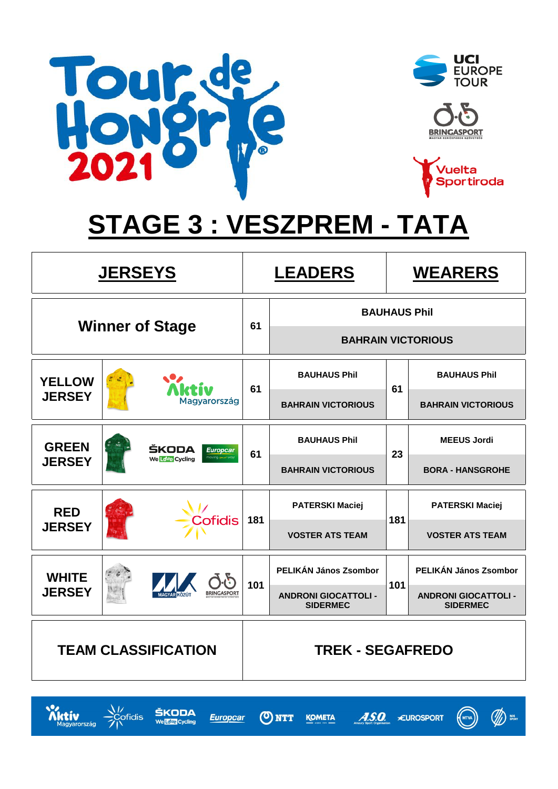

 $\sum_{\text{Magyarország}}$ 

 $\frac{\sqrt{7}}{2}$  cofidis

ŠKODA

We Love Cycling







# **STAGE 3 : VESZPREM - TATA**

| <b>JERSEYS</b>             |                        |                                       |     | <b>LEADERS</b><br><b>WEARERS</b>               |     |                                                |
|----------------------------|------------------------|---------------------------------------|-----|------------------------------------------------|-----|------------------------------------------------|
|                            | <b>Winner of Stage</b> |                                       |     | <b>BAUHAUS Phil</b>                            |     |                                                |
|                            |                        |                                       | 61  |                                                |     | <b>BAHRAIN VICTORIOUS</b>                      |
| <b>YELLOW</b>              |                        |                                       | 61  | <b>BAUHAUS Phil</b>                            | 61  | <b>BAUHAUS Phil</b>                            |
| <b>JERSEY</b>              | Magyarország           |                                       |     | <b>BAHRAIN VICTORIOUS</b>                      |     | <b>BAHRAIN VICTORIOUS</b>                      |
| <b>GREEN</b>               |                        | ŠKODA<br><b>Europcar</b>              | 61  | <b>BAUHAUS Phil</b>                            | 23  | <b>MEEUS Jordi</b>                             |
| <b>JERSEY</b>              |                        | <b>Yoving</b> your<br>We Love Cycling |     | <b>BAHRAIN VICTORIOUS</b>                      |     | <b>BORA - HANSGROHE</b>                        |
| <b>RED</b>                 |                        | Cofidis                               | 181 | <b>PATERSKI Maciej</b>                         | 181 | <b>PATERSKI Maciej</b>                         |
| <b>JERSEY</b>              |                        |                                       |     | <b>VOSTER ATS TEAM</b>                         |     | <b>VOSTER ATS TEAM</b>                         |
| <b>WHITE</b>               |                        |                                       | 101 | PELIKÁN János Zsombor                          | 101 | PELIKÁN János Zsombor                          |
| <b>JERSEY</b>              |                        | <b>BRINGASPORT</b>                    |     | <b>ANDRONI GIOCATTOLI -</b><br><b>SIDERMEC</b> |     | <b>ANDRONI GIOCATTOLI -</b><br><b>SIDERMEC</b> |
| <b>TEAM CLASSIFICATION</b> |                        |                                       |     | <b>TREK - SEGAFREDO</b>                        |     |                                                |

ONTT

**Europcar** 

**KOMETA** 



 $A.S.O.$ 

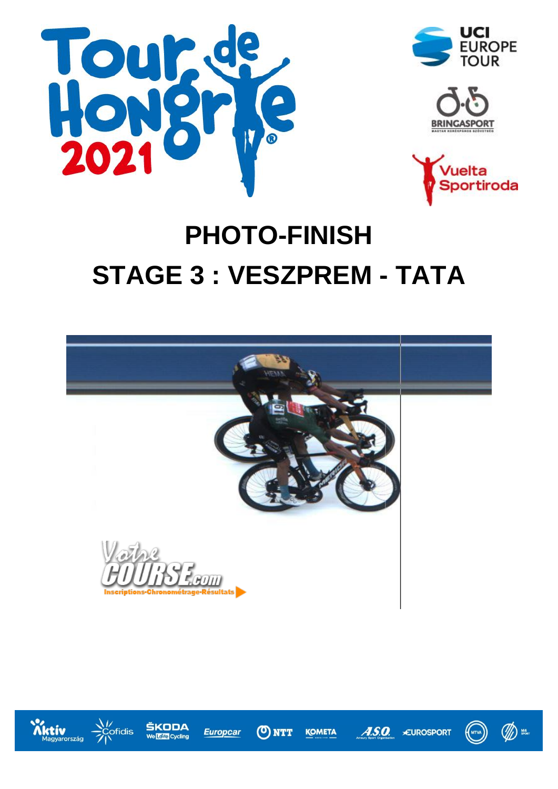







 $\mathscr{A}$ 

 $(\!\! {\scriptstyle \left( \text{\tiny MTVA} \right)} \!\! )$ 

# **PHOTO-FINISH STAGE 3 : VESZPREM - TATA**



**ONTT** 

**KOMETA** 

**Europcar** 

 $\boldsymbol{\mathcal{A}}$ .s.o.

**EUROSPORT** 



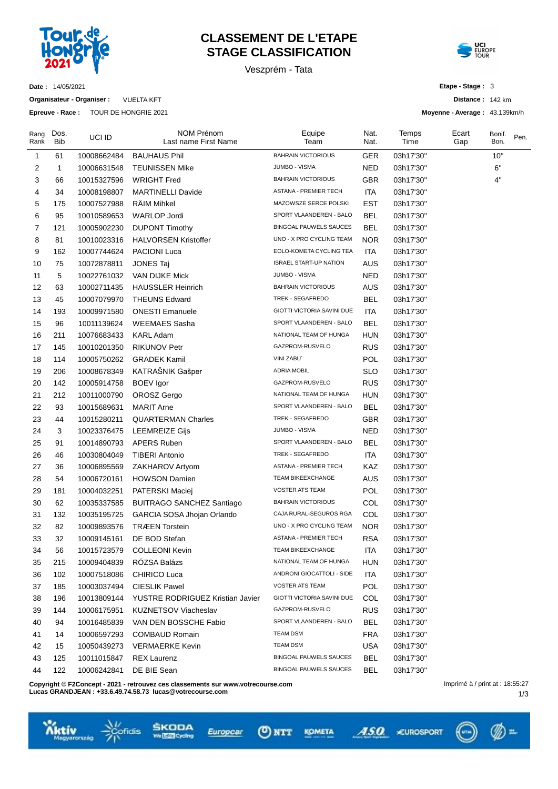

# **CLASSEMENT DE L'ETAPE STAGE CLASSIFICATION**

Veszprém - Tata

Equipe Team

Nat. Nat. Temps Time

NOM Prénom Last name First Name



**Distance :** 142 km **Moyenne - Average :** 43.139km/h

> Bonif. Bon.

Pen.

**Etape - Stage :** 3

Ecart Gap

**Date :** 14/05/2021

Dos. Bib

Rang Rank

**Organisateur - Organiser :** VUELTA KFT

**Epreuve - Race :** TOUR DE HONGRIE 2021

UCI ID

| 1  | 61           | 10008662484 | <b>BAUHAUS Phil</b>              | <b>BAHRAIN VICTORIOUS</b>     | <b>GER</b> | 03h17'30" | 10" |
|----|--------------|-------------|----------------------------------|-------------------------------|------------|-----------|-----|
| 2  | $\mathbf{1}$ | 10006631548 | <b>TEUNISSEN Mike</b>            | JUMBO - VISMA                 | NED.       | 03h17'30" | 6"  |
| 3  | 66           | 10015327596 | WRIGHT Fred                      | <b>BAHRAIN VICTORIOUS</b>     | <b>GBR</b> | 03h17'30" | 4"  |
| 4  | 34           | 10008198807 | <b>MARTINELLI Davide</b>         | ASTANA - PREMIER TECH         | ITA        | 03h17'30" |     |
| 5  | 175          | 10007527988 | <b>RAIM Mihkel</b>               | MAZOWSZE SERCE POLSKI         | EST        | 03h17'30" |     |
| 6  | 95           | 10010589653 | <b>WARLOP Jordi</b>              | SPORT VLAANDEREN - BALO       | <b>BEL</b> | 03h17'30" |     |
| 7  | 121          | 10005902230 | <b>DUPONT Timothy</b>            | BINGOAL PAUWELS SAUCES        | <b>BEL</b> | 03h17'30" |     |
| 8  | 81           | 10010023316 | <b>HALVORSEN Kristoffer</b>      | UNO - X PRO CYCLING TEAM      | NOR.       | 03h17'30" |     |
| 9  | 162          | 10007744624 | <b>PACIONI Luca</b>              | EOLO-KOMETA CYCLING TEA       | <b>ITA</b> | 03h17'30" |     |
| 10 | 75           | 10072878811 | <b>JONES Taj</b>                 | <b>ISRAEL START-UP NATION</b> | <b>AUS</b> | 03h17'30" |     |
| 11 | 5            | 10022761032 | VAN DIJKE Mick                   | JUMBO - VISMA                 | <b>NED</b> | 03h17'30" |     |
| 12 | 63           | 10002711435 | <b>HAUSSLER Heinrich</b>         | <b>BAHRAIN VICTORIOUS</b>     | AUS        | 03h17'30" |     |
| 13 | 45           | 10007079970 | <b>THEUNS Edward</b>             | TREK - SEGAFREDO              | <b>BEL</b> | 03h17'30" |     |
| 14 | 193          | 10009971580 | <b>ONESTI Emanuele</b>           | GIOTTI VICTORIA SAVINI DUE    | <b>ITA</b> | 03h17'30" |     |
| 15 | 96           | 10011139624 | WEEMAES Sasha                    | SPORT VLAANDEREN - BALO       | <b>BEL</b> | 03h17'30" |     |
| 16 | 211          | 10076683433 | KARL Adam                        | NATIONAL TEAM OF HUNGA        | <b>HUN</b> | 03h17'30" |     |
| 17 | 145          | 10010201350 | <b>RIKUNOV Petr</b>              | GAZPROM-RUSVELO               | <b>RUS</b> | 03h17'30" |     |
| 18 | 114          | 10005750262 | <b>GRADEK Kamil</b>              | VINI ZABU`                    | <b>POL</b> | 03h17'30" |     |
| 19 | 206          | 10008678349 | KATRAŠNIK Gašper                 | <b>ADRIA MOBIL</b>            | <b>SLO</b> | 03h17'30" |     |
| 20 | 142          | 10005914758 | BOEV Igor                        | GAZPROM-RUSVELO               | <b>RUS</b> | 03h17'30" |     |
| 21 | 212          | 10011000790 | OROSZ Gergo                      | NATIONAL TEAM OF HUNGA        | <b>HUN</b> | 03h17'30" |     |
| 22 | 93           | 10015689631 | <b>MARIT Arne</b>                | SPORT VLAANDEREN - BALO       | <b>BEL</b> | 03h17'30" |     |
| 23 | 44           | 10015280211 | <b>QUARTERMAN Charles</b>        | TREK - SEGAFREDO              | <b>GBR</b> | 03h17'30" |     |
| 24 | 3            | 10023376475 | LEEMREIZE Gijs                   | JUMBO - VISMA                 | <b>NED</b> | 03h17'30" |     |
| 25 | 91           | 10014890793 | <b>APERS Ruben</b>               | SPORT VLAANDEREN - BALO       | <b>BEL</b> | 03h17'30" |     |
| 26 | 46           | 10030804049 | <b>TIBERI Antonio</b>            | TREK - SEGAFREDO              | ITA.       | 03h17'30" |     |
| 27 | 36           | 10006895569 | ZAKHAROV Artyom                  | ASTANA - PREMIER TECH         | KAZ        | 03h17'30" |     |
| 28 | 54           | 10006720161 | <b>HOWSON Damien</b>             | TEAM BIKEEXCHANGE             | <b>AUS</b> | 03h17'30" |     |
| 29 | 181          | 10004032251 | PATERSKI Maciej                  | <b>VOSTER ATS TEAM</b>        | POL        | 03h17'30" |     |
| 30 | 62           | 10035337585 | <b>BUITRAGO SANCHEZ Santiago</b> | <b>BAHRAIN VICTORIOUS</b>     | <b>COL</b> | 03h17'30" |     |
| 31 | 132          | 10035195725 | GARCIA SOSA Jhojan Orlando       | CAJA RURAL-SEGUROS RGA        | <b>COL</b> | 03h17'30" |     |
| 32 | 82           | 10009893576 | <b>TRÆEN Torstein</b>            | UNO - X PRO CYCLING TEAM      | <b>NOR</b> | 03h17'30" |     |
| 33 | 32           | 10009145161 | DE BOD Stefan                    | ASTANA - PREMIER TECH         | <b>RSA</b> | 03h17'30" |     |
| 34 | 56           | 10015723579 | <b>COLLEONI Kevin</b>            | TEAM BIKEEXCHANGE             | ITA        | 03h17'30" |     |
| 35 | 215          | 10009404839 | RÓZSA Balázs                     | NATIONAL TEAM OF HUNGA        | HUN        | 03h17'30" |     |
| 36 | 102          | 10007518086 | <b>CHIRICO Luca</b>              | ANDRONI GIOCATTOLI - SIDE     | <b>ITA</b> | 03h17'30" |     |
| 37 | 185          | 10003037494 | <b>CIESLIK Pawel</b>             | <b>VOSTER ATS TEAM</b>        | POL        | 03h17'30" |     |
| 38 | 196          | 10013809144 | YUSTRE RODRIGUEZ Kristian Javier | GIOTTI VICTORIA SAVINI DUE    | COL        | 03h17'30" |     |
| 39 | 144          | 10006175951 | KUZNETSOV Viacheslav             | GAZPROM-RUSVELO               | <b>RUS</b> | 03h17'30" |     |
| 40 | 94           | 10016485839 | VAN DEN BOSSCHE Fabio            | SPORT VLAANDEREN - BALO       | <b>BEL</b> | 03h17'30" |     |
| 41 | 14           | 10006597293 | <b>COMBAUD Romain</b>            | <b>TEAM DSM</b>               | <b>FRA</b> | 03h17'30" |     |
| 42 | 15           | 10050439273 | <b>VERMAERKE Kevin</b>           | <b>TEAM DSM</b>               | <b>USA</b> | 03h17'30" |     |
| 43 | 125          | 10011015847 | <b>REX Laurenz</b>               | <b>BINGOAL PAUWELS SAUCES</b> | <b>BEL</b> | 03h17'30" |     |
| 44 | 122          | 10006242841 | DE BIE Sean                      | <b>BINGOAL PAUWELS SAUCES</b> | <b>BEL</b> | 03h17'30" |     |
|    |              |             |                                  |                               |            |           |     |

**Copyright © F2Concept - 2021 - retrouvez ces classements sur www.votrecourse.com**

**Lucas GRANDJEAN : +33.6.49.74.58.73 lucas@votrecourse.com**

fidis







ASO CUROSPORT

⋒≖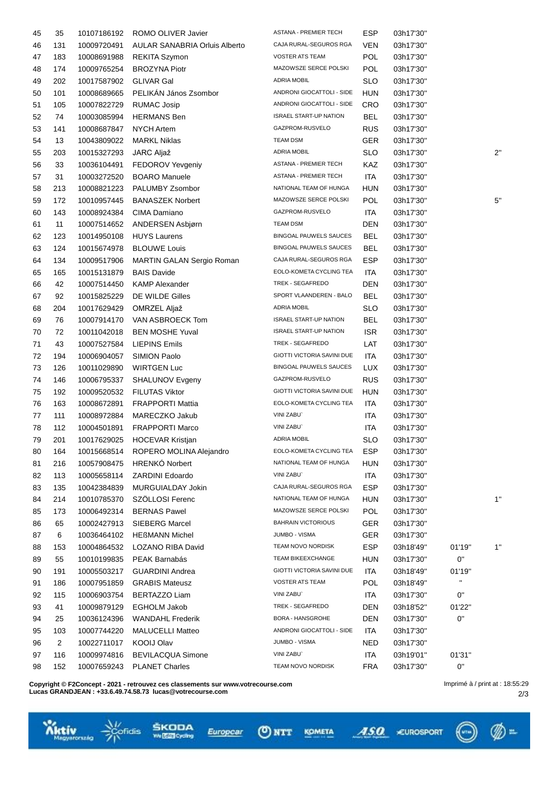| 45 | 35             | 10107186192 | ROMO OLIVER Javier                   | ASTANA - PREMIER TECH         | ESP        | 03h17'30" |              |    |
|----|----------------|-------------|--------------------------------------|-------------------------------|------------|-----------|--------------|----|
| 46 | 131            | 10009720491 | <b>AULAR SANABRIA Orluis Alberto</b> | CAJA RURAL-SEGUROS RGA        | <b>VEN</b> | 03h17'30" |              |    |
| 47 | 183            | 10008691988 | <b>REKITA Szymon</b>                 | <b>VOSTER ATS TEAM</b>        | POL        | 03h17'30" |              |    |
| 48 | 174            | 10009765254 | <b>BROZYNA Piotr</b>                 | MAZOWSZE SERCE POLSKI         | POL        | 03h17'30" |              |    |
| 49 | 202            | 10017587902 | <b>GLIVAR Gal</b>                    | ADRIA MOBIL                   | <b>SLO</b> | 03h17'30" |              |    |
| 50 | 101            | 10008689665 | PELIKÁN János Zsombor                | ANDRONI GIOCATTOLI - SIDE     | <b>HUN</b> | 03h17'30" |              |    |
| 51 | 105            | 10007822729 | <b>RUMAC Josip</b>                   | ANDRONI GIOCATTOLI - SIDE     | <b>CRO</b> | 03h17'30" |              |    |
| 52 | 74             | 10003085994 | <b>HERMANS Ben</b>                   | <b>ISRAEL START-UP NATION</b> | <b>BEL</b> | 03h17'30" |              |    |
| 53 | 141            | 10008687847 | <b>NYCH Artem</b>                    | GAZPROM-RUSVELO               | <b>RUS</b> | 03h17'30" |              |    |
| 54 | 13             | 10043809022 | <b>MARKL Niklas</b>                  | <b>TEAM DSM</b>               | GER        | 03h17'30" |              |    |
| 55 | 203            | 10015327293 | JARC Aljaž                           | <b>ADRIA MOBIL</b>            | <b>SLO</b> | 03h17'30" |              | 2" |
| 56 | 33             | 10036104491 | FEDOROV Yevgeniy                     | ASTANA - PREMIER TECH         | KAZ        | 03h17'30" |              |    |
| 57 | 31             | 10003272520 | <b>BOARO</b> Manuele                 | ASTANA - PREMIER TECH         | ITA        | 03h17'30" |              |    |
| 58 | 213            | 10008821223 | PALUMBY Zsombor                      | NATIONAL TEAM OF HUNGA        | <b>HUN</b> | 03h17'30" |              |    |
| 59 | 172            | 10010957445 | <b>BANASZEK Norbert</b>              | MAZOWSZE SERCE POLSKI         | POL        | 03h17'30" |              | 5" |
| 60 | 143            | 10008924384 | CIMA Damiano                         | GAZPROM-RUSVELO               | ITA        | 03h17'30" |              |    |
| 61 | 11             | 10007514652 | ANDERSEN Asbjørn                     | <b>TEAM DSM</b>               | <b>DEN</b> | 03h17'30" |              |    |
| 62 | 123            | 10014950108 | <b>HUYS Laurens</b>                  | BINGOAL PAUWELS SAUCES        | <b>BEL</b> | 03h17'30" |              |    |
| 63 | 124            | 10015674978 | <b>BLOUWE Louis</b>                  | BINGOAL PAUWELS SAUCES        | <b>BEL</b> | 03h17'30" |              |    |
| 64 | 134            | 10009517906 | MARTIN GALAN Sergio Roman            | CAJA RURAL-SEGUROS RGA        | <b>ESP</b> | 03h17'30" |              |    |
| 65 | 165            | 10015131879 | <b>BAIS Davide</b>                   | EOLO-KOMETA CYCLING TEA       | <b>ITA</b> | 03h17'30" |              |    |
| 66 | 42             | 10007514450 | <b>KAMP Alexander</b>                | TREK - SEGAFREDO              | <b>DEN</b> | 03h17'30" |              |    |
|    | 92             |             | DE WILDE Gilles                      | SPORT VLAANDEREN - BALO       | BEL        |           |              |    |
| 67 | 204            | 10015825229 | OMRZEL Aljaž                         | <b>ADRIA MOBIL</b>            | <b>SLO</b> | 03h17'30" |              |    |
| 68 |                | 10017629429 |                                      | <b>ISRAEL START-UP NATION</b> |            | 03h17'30" |              |    |
| 69 | 76             | 10007914170 | VAN ASBROECK Tom                     |                               | <b>BEL</b> | 03h17'30" |              |    |
| 70 | 72             | 10011042018 | <b>BEN MOSHE Yuval</b>               | <b>ISRAEL START-UP NATION</b> | <b>ISR</b> | 03h17'30" |              |    |
| 71 | 43             | 10007527584 | <b>LIEPINS Emils</b>                 | TREK - SEGAFREDO              | LAT        | 03h17'30" |              |    |
| 72 | 194            | 10006904057 | SIMION Paolo                         | GIOTTI VICTORIA SAVINI DUE    | <b>ITA</b> | 03h17'30" |              |    |
| 73 | 126            | 10011029890 | <b>WIRTGEN Luc</b>                   | BINGOAL PAUWELS SAUCES        | <b>LUX</b> | 03h17'30" |              |    |
| 74 | 146            | 10006795337 | <b>SHALUNOV Evgeny</b>               | GAZPROM-RUSVELO               | <b>RUS</b> | 03h17'30" |              |    |
| 75 | 192            | 10009520532 | <b>FILUTAS Viktor</b>                | GIOTTI VICTORIA SAVINI DUE    | HUN        | 03h17'30" |              |    |
| 76 | 163            | 10008672891 | <b>FRAPPORTI Mattia</b>              | EOLO-KOMETA CYCLING TEA       | ITA        | 03h17'30" |              |    |
| 77 | 111            | 10008972884 | MARECZKO Jakub                       | VINI ZABU`                    | ITA        | 03h17'30" |              |    |
| 78 | 112            | 10004501891 | <b>FRAPPORTI Marco</b>               | VINI ZABU`                    | <b>ITA</b> | 03h17'30" |              |    |
| 79 | 201            | 10017629025 | <b>HOCEVAR Kristjan</b>              | ADRIA MOBIL                   | <b>SLO</b> | 03h17'30" |              |    |
| 80 | 164            | 10015668514 | ROPERO MOLINA Alejandro              | EOLO-KOMETA CYCLING TEA       | ESP        | 03h17'30" |              |    |
| 81 | 216            | 10057908475 | HRENKÓ Norbert                       | NATIONAL TEAM OF HUNGA        | <b>HUN</b> | 03h17'30" |              |    |
| 82 | 113            | 10005658114 | <b>ZARDINI Edoardo</b>               | VINI ZABU`                    | ITA        | 03h17'30" |              |    |
| 83 | 135            | 10042384839 | MURGUIALDAY Jokin                    | CAJA RURAL-SEGUROS RGA        | <b>ESP</b> | 03h17'30" |              |    |
| 84 | 214            | 10010785370 | SZÖLLOSI Ferenc                      | NATIONAL TEAM OF HUNGA        | <b>HUN</b> | 03h17'30" |              | 1" |
| 85 | 173            | 10006492314 | <b>BERNAS Pawel</b>                  | MAZOWSZE SERCE POLSKI         | POL        | 03h17'30" |              |    |
| 86 | 65             | 10002427913 | <b>SIEBERG Marcel</b>                | <b>BAHRAIN VICTORIOUS</b>     | GER        | 03h17'30" |              |    |
| 87 | 6              | 10036464102 | <b>HEßMANN Michel</b>                | JUMBO - VISMA                 | GER        | 03h17'30" |              |    |
| 88 | 153            | 10004864532 | LOZANO RIBA David                    | TEAM NOVO NORDISK             | <b>ESP</b> | 03h18'49" | 01'19"       | 1" |
| 89 | 55             | 10010199835 | PEAK Barnabás                        | TEAM BIKEEXCHANGE             | <b>HUN</b> | 03h17'30" | 0"           |    |
| 90 | 191            | 10005503217 | <b>GUARDINI Andrea</b>               | GIOTTI VICTORIA SAVINI DUE    | ITA        | 03h18'49" | 01'19"       |    |
| 91 | 186            | 10007951859 | <b>GRABIS Mateusz</b>                | <b>VOSTER ATS TEAM</b>        | POL        | 03h18'49" | $\mathbf{H}$ |    |
| 92 | 115            | 10006903754 | <b>BERTAZZO Liam</b>                 | VINI ZABU`                    | ITA        | 03h17'30" | 0"           |    |
| 93 | 41             | 10009879129 | <b>EGHOLM Jakob</b>                  | TREK - SEGAFREDO              | <b>DEN</b> | 03h18'52" | 01'22"       |    |
| 94 | 25             | 10036124396 | <b>WANDAHL Frederik</b>              | BORA - HANSGROHE              | <b>DEN</b> | 03h17'30" | 0"           |    |
| 95 | 103            | 10007744220 | <b>MALUCELLI Matteo</b>              | ANDRONI GIOCATTOLI - SIDE     | ITA        | 03h17'30" |              |    |
| 96 | $\overline{2}$ | 10022711017 | KOOIJ Olav                           | JUMBO - VISMA                 | <b>NED</b> | 03h17'30" |              |    |
| 97 | 116            | 10009974816 | <b>BEVILACQUA Simone</b>             | VINI ZABU`                    | ITA        | 03h19'01" | 01'31"       |    |
| 98 | 152            | 10007659243 | <b>PLANET Charles</b>                | TEAM NOVO NORDISK             | <b>FRA</b> | 03h17'30" | 0"           |    |

**ONTT** 

Europcar

**Copyright © F2Concept - 2021 - retrouvez ces classements sur www.votrecourse.com Lucas GRANDJEAN : +33.6.49.74.58.73 lucas@votrecourse.com**

,<br>¦ofidis

ŠKODA<br>**WEB**oshi

**White** 

Imprimé à / print at : 18:55:29

((……))

KOMETA 450 CUROSPORT

2/3

 $\mathcal{D}$  =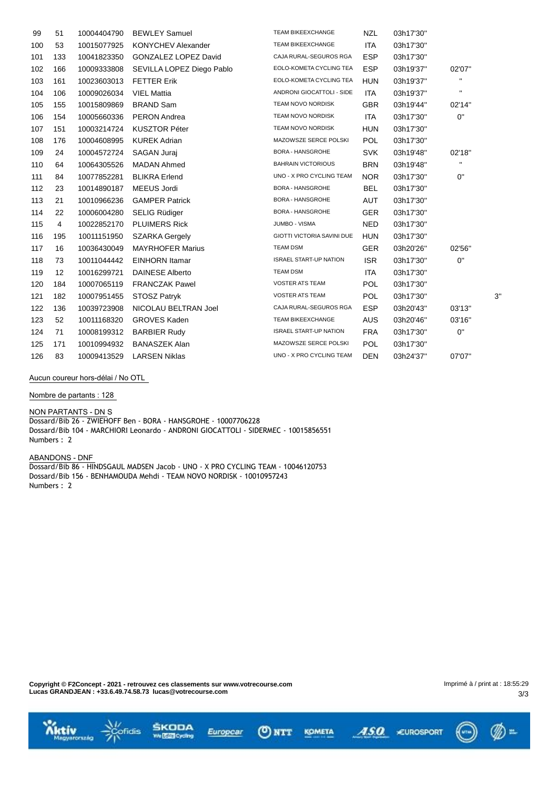| 99  | 51  | 10004404790 | <b>BEWLEY Samuel</b>        | TEAM BIKEEXCHANGE             | <b>NZL</b> | 03h17'30" |              |    |
|-----|-----|-------------|-----------------------------|-------------------------------|------------|-----------|--------------|----|
| 100 | 53  | 10015077925 | <b>KONYCHEV Alexander</b>   | <b>TEAM BIKEEXCHANGE</b>      | <b>ITA</b> | 03h17'30" |              |    |
| 101 | 133 | 10041823350 | <b>GONZALEZ LOPEZ David</b> | CAJA RURAL-SEGUROS RGA        | <b>ESP</b> | 03h17'30" |              |    |
| 102 | 166 | 10009333808 | SEVILLA LOPEZ Diego Pablo   | EOLO-KOMETA CYCLING TEA       | <b>ESP</b> | 03h19'37" | 02'07"       |    |
| 103 | 161 | 10023603013 | <b>FETTER Erik</b>          | EOLO-KOMETA CYCLING TEA       | <b>HUN</b> | 03h19'37" | $\mathbf H$  |    |
| 104 | 106 | 10009026034 | <b>VIEL Mattia</b>          | ANDRONI GIOCATTOLI - SIDE     | <b>ITA</b> | 03h19'37" | $\mathbf{H}$ |    |
| 105 | 155 | 10015809869 | <b>BRAND Sam</b>            | TEAM NOVO NORDISK             | <b>GBR</b> | 03h19'44" | 02'14"       |    |
| 106 | 154 | 10005660336 | PERON Andrea                | TEAM NOVO NORDISK             | ITA        | 03h17'30" | 0"           |    |
| 107 | 151 | 10003214724 | <b>KUSZTOR Péter</b>        | TEAM NOVO NORDISK             | <b>HUN</b> | 03h17'30" |              |    |
| 108 | 176 | 10004608995 | <b>KUREK Adrian</b>         | MAZOWSZE SERCE POLSKI         | <b>POL</b> | 03h17'30" |              |    |
| 109 | 24  | 10004572724 | <b>SAGAN Juraj</b>          | <b>BORA - HANSGROHE</b>       | <b>SVK</b> | 03h19'48" | 02'18"       |    |
| 110 | 64  | 10064305526 | <b>MADAN Ahmed</b>          | <b>BAHRAIN VICTORIOUS</b>     | <b>BRN</b> | 03h19'48" | $\mathbf H$  |    |
| 111 | 84  | 10077852281 | <b>BLIKRA Erlend</b>        | UNO - X PRO CYCLING TEAM      | <b>NOR</b> | 03h17'30" | 0"           |    |
| 112 | 23  | 10014890187 | <b>MEEUS Jordi</b>          | <b>BORA - HANSGROHE</b>       | <b>BEL</b> | 03h17'30" |              |    |
| 113 | 21  | 10010966236 | <b>GAMPER Patrick</b>       | <b>BORA - HANSGROHE</b>       | <b>AUT</b> | 03h17'30" |              |    |
| 114 | 22  | 10006004280 | <b>SELIG Rüdiger</b>        | <b>BORA - HANSGROHE</b>       | <b>GER</b> | 03h17'30" |              |    |
| 115 | 4   | 10022852170 | <b>PLUIMERS Rick</b>        | JUMBO - VISMA                 | <b>NED</b> | 03h17'30" |              |    |
| 116 | 195 | 10011151950 | <b>SZARKA Gergely</b>       | GIOTTI VICTORIA SAVINI DUE    | <b>HUN</b> | 03h17'30" |              |    |
| 117 | 16  | 10036430049 | <b>MAYRHOFER Marius</b>     | TEAM DSM                      | <b>GER</b> | 03h20'26" | 02'56"       |    |
| 118 | 73  | 10011044442 | <b>EINHORN</b> Itamar       | <b>ISRAEL START-UP NATION</b> | <b>ISR</b> | 03h17'30" | 0"           |    |
| 119 | 12  | 10016299721 | <b>DAINESE Alberto</b>      | <b>TEAM DSM</b>               | ITA        | 03h17'30" |              |    |
| 120 | 184 | 10007065119 | <b>FRANCZAK Pawel</b>       | VOSTER ATS TEAM               | <b>POL</b> | 03h17'30" |              |    |
| 121 | 182 | 10007951455 | <b>STOSZ Patryk</b>         | <b>VOSTER ATS TEAM</b>        | <b>POL</b> | 03h17'30" |              | 3' |
| 122 | 136 | 10039723908 | NICOLAU BELTRAN Joel        | CAJA RURAL-SEGUROS RGA        | <b>ESP</b> | 03h20'43" | 03'13"       |    |
| 123 | 52  | 10011168320 | <b>GROVES Kaden</b>         | <b>TEAM BIKEEXCHANGE</b>      | <b>AUS</b> | 03h20'46" | 03'16"       |    |
| 124 | 71  | 10008199312 | <b>BARBIER Rudy</b>         | <b>ISRAEL START-UP NATION</b> | <b>FRA</b> | 03h17'30" | 0"           |    |
| 125 | 171 | 10010994932 | <b>BANASZEK Alan</b>        | MAZOWSZE SERCE POLSKI         | <b>POL</b> | 03h17'30" |              |    |
| 126 | 83  | 10009413529 | <b>LARSEN Niklas</b>        | UNO - X PRO CYCLING TEAM      | <b>DEN</b> | 03h24'37" | 07'07"       |    |

**Aucun coureur hors-délai / No OTL**

**Nombre de partants : 128**

**NON PARTANTS - DN** S Dossard/Bib 26 - ZWIEHOFF Ben - BORA - HANSGROHE - 10007706228 Dossard/Bib 104 - MARCHIORI Leonardo - ANDRONI GIOCATTOLI - SIDERMEC - 10015856551 Numbers : 2

**ABANDONS - DNF** Dossard/Bib 86 - HINDSGAUL MADSEN Jacob - UNO - X PRO CYCLING TEAM - 10046120753 Dossard/Bib 156 - BENHAMOUDA Mehdi - TEAM NOVO NORDISK - 10010957243 Numbers : 2

**Copyright © F2Concept - 2021 - retrouvez ces classements sur www.votrecourse.com Lucas GRANDJEAN : +33.6.49.74.58.73 lucas@votrecourse.com**

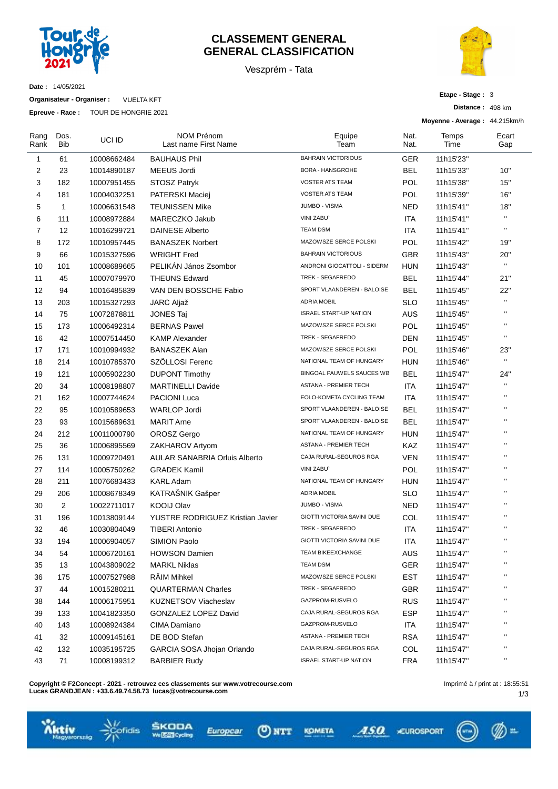

### **CLASSEMENT GENERAL GENERAL CLASSIFICATION**

Veszprém - Tata



**Date :** 14/05/2021

**Organisateur - Organiser :** VUELTA KFT

**Epreuve - Race :** TOUR DE HONGRIE 2021

| Etape - Stage: 3 |  |
|------------------|--|
| Distance: 498 km |  |

**Moyenne - Average :** 44.215km/h

| Rang<br>Rank   | Dos.<br>Bib       | UCI ID      | NOM Prénom<br>Last name First Name   | Equipe<br>Team                    | Nat.<br>Nat. | Temps<br>Time | Ecart<br>Gap |
|----------------|-------------------|-------------|--------------------------------------|-----------------------------------|--------------|---------------|--------------|
| 1              | 61                | 10008662484 | <b>BAUHAUS Phil</b>                  | <b>BAHRAIN VICTORIOUS</b>         | GER          | 11h15'23"     |              |
| $\overline{c}$ | 23                | 10014890187 | MEEUS Jordi                          | <b>BORA - HANSGROHE</b>           | <b>BEL</b>   | 11h15'33"     | 10"          |
| 3              | 182               | 10007951455 | STOSZ Patryk                         | <b>VOSTER ATS TEAM</b>            | <b>POL</b>   | 11h15'38"     | 15"          |
| 4              | 181               | 10004032251 | PATERSKI Maciej                      | <b>VOSTER ATS TEAM</b>            | <b>POL</b>   | 11h15'39"     | 16"          |
| 5              | $\mathbf{1}$      | 10006631548 | <b>TEUNISSEN Mike</b>                | <b>JUMBO - VISMA</b>              | NED          | 11h15'41"     | 18"          |
| 6              | 111               | 10008972884 | MARECZKO Jakub                       | <b>VINI ZABU</b>                  | <b>ITA</b>   | 11h15'41"     | $\mathbf{H}$ |
| $\overline{7}$ | $12 \overline{ }$ | 10016299721 | <b>DAINESE Alberto</b>               | <b>TEAM DSM</b>                   | ITA          | 11h15'41"     | $\mathbf{H}$ |
| 8              | 172               | 10010957445 | <b>BANASZEK Norbert</b>              | MAZOWSZE SERCE POLSKI             | POL          | 11h15'42"     | 19"          |
| 9              | 66                | 10015327596 | <b>WRIGHT Fred</b>                   | <b>BAHRAIN VICTORIOUS</b>         | <b>GBR</b>   | 11h15'43"     | 20"          |
| 10             | 101               | 10008689665 | PELIKÁN János Zsombor                | ANDRONI GIOCATTOLI - SIDERM       | <b>HUN</b>   | 11h15'43"     | $\mathbf{H}$ |
| 11             | 45                | 10007079970 | <b>THEUNS Edward</b>                 | TREK - SEGAFREDO                  | BEL          | 11h15'44"     | 21"          |
| 12             | 94                | 10016485839 | VAN DEN BOSSCHE Fabio                | SPORT VLAANDEREN - BALOISE        | BEL          | 11h15'45"     | 22"          |
| 13             | 203               | 10015327293 | JARC Aljaž                           | <b>ADRIA MOBIL</b>                | <b>SLO</b>   | 11h15'45"     | $\mathbf{H}$ |
| 14             | 75                | 10072878811 | <b>JONES Taj</b>                     | <b>ISRAEL START-UP NATION</b>     | AUS          | 11h15'45"     | $\mathbf{H}$ |
| 15             | 173               | 10006492314 | <b>BERNAS Pawel</b>                  | MAZOWSZE SERCE POLSKI             | <b>POL</b>   | 11h15'45"     | $\mathbf{H}$ |
| 16             | 42                | 10007514450 | <b>KAMP Alexander</b>                | TREK - SEGAFREDO                  | DEN          | 11h15'45"     | $\mathbf{H}$ |
| 17             | 171               | 10010994932 | <b>BANASZEK Alan</b>                 | MAZOWSZE SERCE POLSKI             | POL          | 11h15'46"     | 23"          |
| 18             | 214               | 10010785370 | SZÖLLOSI Ferenc                      | NATIONAL TEAM OF HUNGARY          | <b>HUN</b>   | 11h15'46"     | $\mathbf{H}$ |
| 19             | 121               | 10005902230 | <b>DUPONT Timothy</b>                | BINGOAL PAUWELS SAUCES WB         | <b>BEL</b>   | 11h15'47"     | 24"          |
| 20             | 34                | 10008198807 | <b>MARTINELLI Davide</b>             | <b>ASTANA - PREMIER TECH</b>      | ITA          | 11h15'47"     | $\mathbf{H}$ |
| 21             | 162               | 10007744624 | <b>PACIONI Luca</b>                  | EOLO-KOMETA CYCLING TEAM          | <b>ITA</b>   | 11h15'47"     | $\mathbf{H}$ |
| 22             | 95                | 10010589653 | <b>WARLOP Jordi</b>                  | SPORT VLAANDEREN - BALOISE        | <b>BEL</b>   | 11h15'47"     | $\mathbf{H}$ |
| 23             | 93                | 10015689631 | <b>MARIT Arne</b>                    | SPORT VLAANDEREN - BALOISE        | <b>BEL</b>   | 11h15'47"     | $\mathbf{H}$ |
| 24             | 212               | 10011000790 | <b>OROSZ Gergo</b>                   | NATIONAL TEAM OF HUNGARY          | <b>HUN</b>   | 11h15'47"     | $\mathbf{H}$ |
| 25             | 36                | 10006895569 | ZAKHAROV Artyom                      | ASTANA - PREMIER TECH             | KAZ          | 11h15'47"     | $\mathbf{H}$ |
| 26             | 131               | 10009720491 | <b>AULAR SANABRIA Orluis Alberto</b> | CAJA RURAL-SEGUROS RGA            | <b>VEN</b>   | 11h15'47"     | $\mathbf{H}$ |
| 27             | 114               | 10005750262 | <b>GRADEK Kamil</b>                  | <b>VINI ZABU</b>                  | POL          | 11h15'47"     | $\mathbf{H}$ |
| 28             | 211               | 10076683433 | <b>KARL Adam</b>                     | NATIONAL TEAM OF HUNGARY          | <b>HUN</b>   | 11h15'47"     | $\mathbf{H}$ |
| 29             | 206               | 10008678349 | KATRAŠNIK Gašper                     | <b>ADRIA MOBIL</b>                | <b>SLO</b>   | 11h15'47"     | $\mathbf{H}$ |
| 30             | 2                 | 10022711017 | <b>KOOIJ Olav</b>                    | JUMBO - VISMA                     | <b>NED</b>   | 11h15'47"     | $\mathbf{H}$ |
| 31             | 196               | 10013809144 | YUSTRE RODRIGUEZ Kristian Javier     | GIOTTI VICTORIA SAVINI DUE        | COL          | 11h15'47"     | $\mathbf{H}$ |
| 32             | 46                | 10030804049 | <b>TIBERI Antonio</b>                | TREK - SEGAFREDO                  | ITA          | 11h15'47"     | $\mathbf{H}$ |
| 33             | 194               | 10006904057 | <b>SIMION Paolo</b>                  | <b>GIOTTI VICTORIA SAVINI DUE</b> | <b>ITA</b>   | 11h15'47"     | $\mathbf{u}$ |
| 34             | 54                | 10006720161 | <b>HOWSON Damien</b>                 | TEAM BIKEEXCHANGE                 | AUS          | 11h15'47"     |              |
| 35             | 13                | 10043809022 | <b>MARKL Niklas</b>                  | <b>TEAM DSM</b>                   | GER          | 11h15'47"     | $\mathbf{H}$ |
| 36             | 175               | 10007527988 | RÄIM Mihkel                          | MAZOWSZE SERCE POLSKI             | <b>EST</b>   | 11h15'47"     |              |
| 37             | 44                | 10015280211 | <b>QUARTERMAN Charles</b>            | TREK - SEGAFREDO                  | GBR          | 11h15'47"     | H.           |
| 38             | 144               | 10006175951 | <b>KUZNETSOV Viacheslav</b>          | GAZPROM-RUSVELO                   | <b>RUS</b>   | 11h15'47"     |              |
| 39             | 133               | 10041823350 | <b>GONZALEZ LOPEZ David</b>          | CAJA RURAL-SEGUROS RGA            | <b>ESP</b>   | 11h15'47"     |              |
| 40             | 143               | 10008924384 | CIMA Damiano                         | GAZPROM-RUSVELO                   | ITA          | 11h15'47"     |              |
| 41             | 32                | 10009145161 | DE BOD Stefan                        | ASTANA - PREMIER TECH             | <b>RSA</b>   | 11h15'47"     |              |
| 42             | 132               | 10035195725 | GARCIA SOSA Jhojan Orlando           | CAJA RURAL-SEGUROS RGA            | COL          | 11h15'47"     |              |
| 43             | 71                | 10008199312 | <b>BARBIER Rudy</b>                  | <b>ISRAEL START-UP NATION</b>     | <b>FRA</b>   | 11h15'47"     | н            |

**Copyright © F2Concept - 2021 - retrouvez ces classements sur www.votrecourse.com Lucas GRANDJEAN : +33.6.49.74.58.73 lucas@votrecourse.com**

fidis

m.





ASO CUROSPORT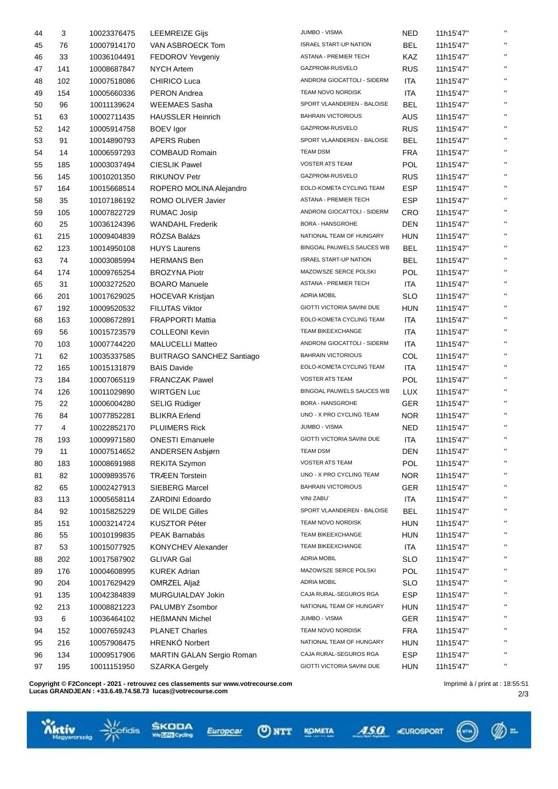| 44 | 3         | 10023376475 | <b>LEEMREIZE Gijs</b>            | <b>JUMBO - VISMA</b>                                 | NED        | 11h15'47" |              |
|----|-----------|-------------|----------------------------------|------------------------------------------------------|------------|-----------|--------------|
| 45 | 76        | 10007914170 | VAN ASBROECK Tom                 | <b>ISRAEL START-UP NATION</b>                        | <b>BEL</b> | 11h15'47" | $\mathbf{H}$ |
| 46 | 33        | 10036104491 | FEDOROV Yevgeniy                 | ASTANA - PREMIER TECH                                | KAZ        | 11h15'47" | $\mathbf{H}$ |
| 47 | 141       | 10008687847 | <b>NYCH Artem</b>                | GAZPROM-RUSVELO                                      | <b>RUS</b> | 11h15'47" | $\mathbf{H}$ |
| 48 | 102       | 10007518086 | CHIRICO Luca                     | ANDRONI GIOCATTOLI - SIDERM                          | ITA        | 11h15'47" | $\mathbf{H}$ |
| 49 | 154       | 10005660336 | <b>PERON Andrea</b>              | TEAM NOVO NORDISK                                    | <b>ITA</b> | 11h15'47" | $\mathbf{H}$ |
| 50 | 96        | 10011139624 | <b>WEEMAES Sasha</b>             | SPORT VLAANDEREN - BALOISE                           | <b>BEL</b> | 11h15'47" | $\mathbf{H}$ |
| 51 | 63        | 10002711435 | <b>HAUSSLER Heinrich</b>         | <b>BAHRAIN VICTORIOUS</b>                            | <b>AUS</b> | 11h15'47" | $\mathbf{H}$ |
| 52 | 142       | 10005914758 | <b>BOEV</b> Igor                 | GAZPROM-RUSVELO                                      | <b>RUS</b> | 11h15'47" | $\mathbf{H}$ |
| 53 | 91        | 10014890793 | <b>APERS Ruben</b>               | SPORT VLAANDEREN - BALOISE                           | <b>BEL</b> | 11h15'47" | $\mathbf{H}$ |
| 54 | 14        | 10006597293 | <b>COMBAUD Romain</b>            | <b>TEAM DSM</b>                                      | <b>FRA</b> | 11h15'47" | $\mathbf{H}$ |
| 55 | 185       | 10003037494 | <b>CIESLIK Pawel</b>             | VOSTER ATS TEAM                                      | POL        | 11h15'47" | $\mathbf{H}$ |
| 56 | 145       | 10010201350 | <b>RIKUNOV Petr</b>              | GAZPROM-RUSVELO                                      | <b>RUS</b> | 11h15'47" | $\mathbf{H}$ |
| 57 | 164       | 10015668514 | ROPERO MOLINA Alejandro          | EOLO-KOMETA CYCLING TEAM                             | <b>ESP</b> | 11h15'47" | $\mathbf{H}$ |
| 58 | 35        | 10107186192 | ROMO OLIVER Javier               | ASTANA - PREMIER TECH                                | <b>ESP</b> | 11h15'47" | $\mathbf{H}$ |
| 59 | 105       | 10007822729 | <b>RUMAC Josip</b>               | ANDRONI GIOCATTOLI - SIDERM                          | <b>CRO</b> | 11h15'47" | $\mathbf{H}$ |
| 60 | 25        | 10036124396 | <b>WANDAHL Frederik</b>          | <b>BORA - HANSGROHE</b>                              | <b>DEN</b> | 11h15'47" | $\mathbf{H}$ |
| 61 | 215       | 10009404839 | RÓZSA Balázs                     | NATIONAL TEAM OF HUNGARY                             | <b>HUN</b> | 11h15'47" | $\mathbf{H}$ |
| 62 | 123       | 10014950108 | <b>HUYS Laurens</b>              | BINGOAL PAUWELS SAUCES WB                            | <b>BEL</b> | 11h15'47" | $\mathbf{H}$ |
| 63 | 74        | 10003085994 | <b>HERMANS Ben</b>               | <b>ISRAEL START-UP NATION</b>                        | <b>BEL</b> | 11h15'47" | $\mathbf{H}$ |
| 64 | 174       | 10009765254 | <b>BROZYNA Piotr</b>             | MAZOWSZE SERCE POLSKI                                | POL        | 11h15'47" | $\mathbf{H}$ |
| 65 | 31        | 10003272520 | <b>BOARO</b> Manuele             | ASTANA - PREMIER TECH                                | <b>ITA</b> | 11h15'47" | $\mathbf{H}$ |
| 66 | 201       | 10017629025 | <b>HOCEVAR Kristjan</b>          | <b>ADRIA MOBIL</b>                                   | <b>SLO</b> | 11h15'47" | $\mathbf{H}$ |
| 67 | 192       | 10009520532 | <b>FILUTAS Viktor</b>            | GIOTTI VICTORIA SAVINI DUE                           | <b>HUN</b> | 11h15'47" | $\mathbf{H}$ |
|    |           |             | <b>FRAPPORTI Mattia</b>          | EOLO-KOMETA CYCLING TEAM                             | <b>ITA</b> |           | $\mathbf{H}$ |
| 68 | 163<br>56 | 10008672891 | <b>COLLEONI Kevin</b>            | <b>TEAM BIKEEXCHANGE</b>                             | <b>ITA</b> | 11h15'47" | $\mathbf{H}$ |
| 69 |           | 10015723579 |                                  | ANDRONI GIOCATTOLI - SIDERM                          |            | 11h15'47" | $\mathbf{H}$ |
| 70 | 103       | 10007744220 | <b>MALUCELLI Matteo</b>          | <b>BAHRAIN VICTORIOUS</b>                            | ITA        | 11h15'47" | $\mathbf{H}$ |
| 71 | 62        | 10035337585 | <b>BUITRAGO SANCHEZ Santiago</b> |                                                      | COL        | 11h15'47" | $\mathbf{H}$ |
| 72 | 165       | 10015131879 | <b>BAIS Davide</b>               | EOLO-KOMETA CYCLING TEAM<br><b>VOSTER ATS TEAM</b>   | <b>ITA</b> | 11h15'47" | $\mathbf{H}$ |
| 73 | 184       | 10007065119 | <b>FRANCZAK Pawel</b>            |                                                      | POL        | 11h15'47" | $\mathbf{H}$ |
| 74 | 126       | 10011029890 | <b>WIRTGEN Luc</b>               | BINGOAL PAUWELS SAUCES WB<br><b>BORA - HANSGROHE</b> | <b>LUX</b> | 11h15'47" | $\mathbf{H}$ |
| 75 | 22        | 10006004280 | <b>SELIG Rüdiger</b>             |                                                      | <b>GER</b> | 11h15'47" | $\mathbf{H}$ |
| 76 | 84        | 10077852281 | <b>BLIKRA Erlend</b>             | UNO - X PRO CYCLING TEAM                             | <b>NOR</b> | 11h15'47" | $\mathbf{H}$ |
| 77 | 4         | 10022852170 | <b>PLUIMERS Rick</b>             | JUMBO - VISMA                                        | <b>NED</b> | 11h15'47" | $\mathbf{H}$ |
| 78 | 193       | 10009971580 | <b>ONESTI Emanuele</b>           | GIOTTI VICTORIA SAVINI DUE                           | ITA        | 11h15'47" |              |
| 79 | 11        | 10007514652 | ANDERSEN Asbjørn                 | TEAM DSM                                             | <b>DEN</b> | 11h15'47" |              |
| 80 | 183       | 10008691988 | <b>REKITA Szymon</b>             | <b>VOSTER ATS TEAM</b>                               | POL        | 11h15'47" |              |
| 81 | 82        | 10009893576 | <b>TRÆEN Torstein</b>            | UNO - X PRO CYCLING TEAM                             | <b>NOR</b> | 11h15'47" | $\mathbf{H}$ |
| 82 | 65        | 10002427913 | <b>SIEBERG Marcel</b>            | <b>BAHRAIN VICTORIOUS</b>                            | <b>GER</b> | 11h15'47" | $\mathbf{H}$ |
| 83 | 113       | 10005658114 | ZARDINI Edoardo                  | <b>VINI ZABU</b>                                     | ITA        | 11h15'47" | $\mathbf{H}$ |
| 84 | 92        | 10015825229 | DE WILDE Gilles                  | SPORT VLAANDEREN - BALOISE                           | <b>BEL</b> | 11h15'47" | $\mathbf{H}$ |
| 85 | 151       | 10003214724 | <b>KUSZTOR Péter</b>             | TEAM NOVO NORDISK                                    | <b>HUN</b> | 11h15'47" | $\mathbf{H}$ |
| 86 | 55        | 10010199835 | PEAK Barnabás                    | TEAM BIKEEXCHANGE                                    | <b>HUN</b> | 11h15'47" | $\mathbf{H}$ |
| 87 | 53        | 10015077925 | KONYCHEV Alexander               | TEAM BIKEEXCHANGE                                    | ITA        | 11h15'47" | $\mathbf{H}$ |
| 88 | 202       | 10017587902 | <b>GLIVAR Gal</b>                | <b>ADRIA MOBIL</b>                                   | <b>SLO</b> | 11h15'47" | $\mathbf{H}$ |
| 89 | 176       | 10004608995 | <b>KUREK Adrian</b>              | MAZOWSZE SERCE POLSKI                                | POL        | 11h15'47" | $\mathbf{H}$ |
| 90 | 204       | 10017629429 | OMRZEL Aljaž                     | <b>ADRIA MOBIL</b>                                   | <b>SLO</b> | 11h15'47" | $\mathbf{H}$ |
| 91 | 135       | 10042384839 | MURGUIALDAY Jokin                | CAJA RURAL-SEGUROS RGA                               | <b>ESP</b> | 11h15'47" | $\mathbf{H}$ |
| 92 | 213       | 10008821223 | PALUMBY Zsombor                  | NATIONAL TEAM OF HUNGARY                             | HUN        | 11h15'47" | $\mathbf{H}$ |
| 93 | 6         | 10036464102 | <b>HEßMANN Michel</b>            | JUMBO - VISMA                                        | GER        | 11h15'47" | $\mathbf{H}$ |
| 94 | 152       | 10007659243 | <b>PLANET Charles</b>            | TEAM NOVO NORDISK                                    | <b>FRA</b> | 11h15'47" | $\mathbf{H}$ |
| 95 | 216       | 10057908475 | <b>HRENKÓ Norbert</b>            | NATIONAL TEAM OF HUNGARY                             | <b>HUN</b> | 11h15'47" | $\mathbf{H}$ |
| 96 | 134       | 10009517906 | MARTIN GALAN Sergio Roman        | CAJA RURAL-SEGUROS RGA                               | <b>ESP</b> | 11h15'47" | $\mathbf{H}$ |
| 97 | 195       | 10011151950 | <b>SZARKA Gergely</b>            | GIOTTI VICTORIA SAVINI DUE                           | <b>HUN</b> | 11h15'47" | $\mathbf{H}$ |
|    |           |             |                                  |                                                      |            |           |              |

 $Q$  NTT

Europcar

KOMETA

ASO CUROSPORT

**Copyright © F2Concept - 2021 - retrouvez ces classements sur www.votrecourse.com Lucas GRANDJEAN : +33.6.49.74.58.73 lucas@votrecourse.com**

ŠKODA<br>**WEB**oda

 $(\lnot)$ 

 $\mathcal{D}$  =

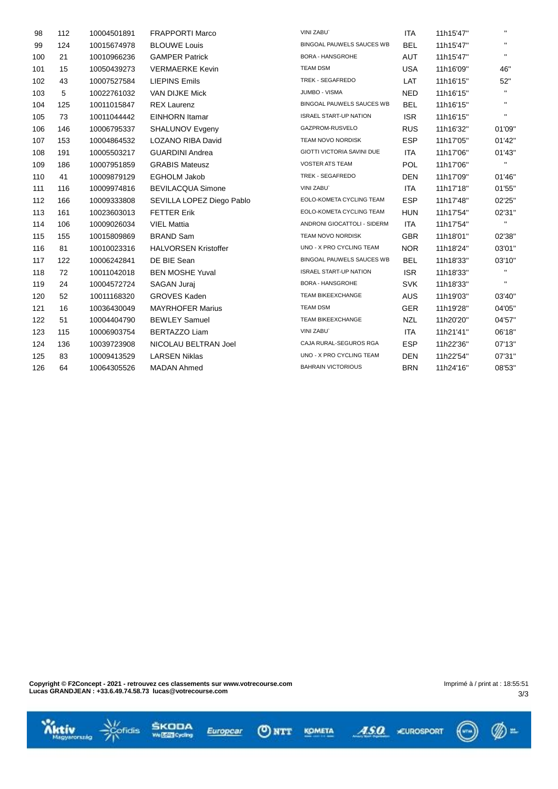| 98  | 112 | 10004501891 | <b>FRAPPORTI Marco</b>      | <b>VINI ZABU</b>                  | ITA        | 11h15'47" | $\mathbf{H}$              |
|-----|-----|-------------|-----------------------------|-----------------------------------|------------|-----------|---------------------------|
| 99  | 124 | 10015674978 | <b>BLOUWE Louis</b>         | BINGOAL PAUWELS SAUCES WB         | <b>BEL</b> | 11h15'47" | $\mathbf{H}$              |
| 100 | 21  | 10010966236 | <b>GAMPER Patrick</b>       | <b>BORA - HANSGROHE</b>           | AUT        | 11h15'47" | $\mathbf{H}$              |
| 101 | 15  | 10050439273 | <b>VERMAERKE Kevin</b>      | <b>TEAM DSM</b>                   | <b>USA</b> | 11h16'09" | 46"                       |
| 102 | 43  | 10007527584 | <b>LIEPINS Emils</b>        | TREK - SEGAFREDO                  | <b>LAT</b> | 11h16'15" | 52"                       |
| 103 | 5   | 10022761032 | VAN DIJKE Mick              | JUMBO - VISMA                     | <b>NED</b> | 11h16'15" | $\mathbf{H}$ .            |
| 104 | 125 | 10011015847 | <b>REX Laurenz</b>          | BINGOAL PAUWELS SAUCES WB         | <b>BEL</b> | 11h16'15" | $\mathbf{H}$              |
| 105 | 73  | 10011044442 | <b>EINHORN</b> Itamar       | <b>ISRAEL START-UP NATION</b>     | <b>ISR</b> | 11h16'15" | п.                        |
| 106 | 146 | 10006795337 | <b>SHALUNOV Evgeny</b>      | GAZPROM-RUSVELO                   | <b>RUS</b> | 11h16'32" | 01'09"                    |
| 107 | 153 | 10004864532 | <b>LOZANO RIBA David</b>    | TEAM NOVO NORDISK                 | <b>ESP</b> | 11h17'05" | 01'42"                    |
| 108 | 191 | 10005503217 | <b>GUARDINI Andrea</b>      | <b>GIOTTI VICTORIA SAVINI DUE</b> | ITA        | 11h17'06" | 01'43"                    |
| 109 | 186 | 10007951859 | <b>GRABIS Mateusz</b>       | <b>VOSTER ATS TEAM</b>            | <b>POL</b> | 11h17'06" | п.                        |
| 110 | 41  | 10009879129 | <b>EGHOLM Jakob</b>         | TREK - SEGAFREDO                  | <b>DEN</b> | 11h17'09" | 01'46"                    |
| 111 | 116 | 10009974816 | <b>BEVILACQUA Simone</b>    | VINI ZABU`                        | <b>ITA</b> | 11h17'18" | 01'55"                    |
| 112 | 166 | 10009333808 | SEVILLA LOPEZ Diego Pablo   | EOLO-KOMETA CYCLING TEAM          | <b>ESP</b> | 11h17'48" | 02'25"                    |
| 113 | 161 | 10023603013 | <b>FETTER Erik</b>          | EOLO-KOMETA CYCLING TEAM          | <b>HUN</b> | 11h17'54" | 02'31"                    |
| 114 | 106 | 10009026034 | <b>VIEL Mattia</b>          | ANDRONI GIOCATTOLI - SIDERM       | ITA        | 11h17'54" | $\mathbf{H}_{\mathrm{c}}$ |
| 115 | 155 | 10015809869 | <b>BRAND Sam</b>            | TEAM NOVO NORDISK                 | <b>GBR</b> | 11h18'01" | 02'38"                    |
| 116 | 81  | 10010023316 | <b>HALVORSEN Kristoffer</b> | UNO - X PRO CYCLING TEAM          | <b>NOR</b> | 11h18'24" | 03'01"                    |
| 117 | 122 | 10006242841 | DE BIE Sean                 | BINGOAL PAUWELS SAUCES WB         | <b>BEL</b> | 11h18'33" | 03'10"                    |
| 118 | 72  | 10011042018 | <b>BEN MOSHE Yuval</b>      | <b>ISRAEL START-UP NATION</b>     | <b>ISR</b> | 11h18'33" | п.                        |
| 119 | 24  | 10004572724 | SAGAN Juraj                 | <b>BORA - HANSGROHE</b>           | <b>SVK</b> | 11h18'33" | п.                        |
| 120 | 52  | 10011168320 | <b>GROVES Kaden</b>         | <b>TEAM BIKEEXCHANGE</b>          | <b>AUS</b> | 11h19'03" | 03'40"                    |
| 121 | 16  | 10036430049 | <b>MAYRHOFER Marius</b>     | <b>TEAM DSM</b>                   | <b>GER</b> | 11h19'28" | 04'05"                    |
| 122 | 51  | 10004404790 | <b>BEWLEY Samuel</b>        | <b>TEAM BIKEEXCHANGE</b>          | <b>NZL</b> | 11h20'20" | 04'57"                    |
| 123 | 115 | 10006903754 | <b>BERTAZZO Liam</b>        | VINI ZABU`                        | ITA        | 11h21'41" | 06'18"                    |
| 124 | 136 | 10039723908 | NICOLAU BELTRAN Joel        | CAJA RURAL-SEGUROS RGA            | <b>ESP</b> | 11h22'36" | 07'13"                    |
| 125 | 83  | 10009413529 | <b>LARSEN Niklas</b>        | UNO - X PRO CYCLING TEAM          | <b>DEN</b> | 11h22'54" | 07'31"                    |
| 126 | 64  | 10064305526 | <b>MADAN Ahmed</b>          | <b>BAHRAIN VICTORIOUS</b>         | <b>BRN</b> | 11h24'16" | 08'53"                    |
|     |     |             |                             |                                   |            |           |                           |

**Copyright © F2Concept - 2021 - retrouvez ces classements sur www.votrecourse.com Lucas GRANDJEAN : +33.6.49.74.58.73 lucas@votrecourse.com**

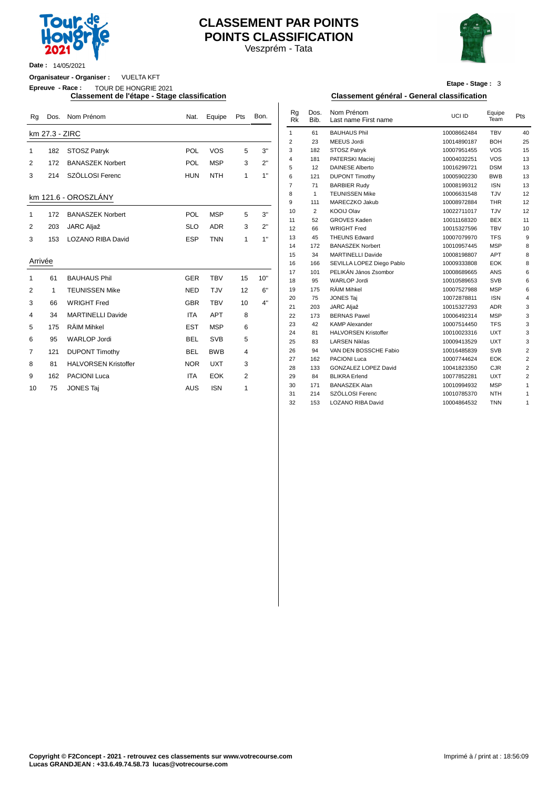

# **CLASSEMENT PAR POINTS POINTS CLASSIFICATION**

Veszprém - Tata



**Date :** 14/05/2021

**Organisateur - Organiser :** VUELTA KFT

**Epreuve - Race :** TOUR DE HONGRIE 2021

| Rg          | Dos.           | Nom Prénom                  | Nat.       | Equipe     | Pts            | Bon. | Rg<br><b>RK</b> | Dos.<br>Bib.    | Nom Prénom<br>Last name First name | UCI ID      | Equipe<br>Team            | Pts            |
|-------------|----------------|-----------------------------|------------|------------|----------------|------|-----------------|-----------------|------------------------------------|-------------|---------------------------|----------------|
|             | km 27.3 - ZIRC |                             |            |            |                |      | $\mathbf{1}$    | 61              | <b>BAUHAUS Phil</b>                | 10008662484 | <b>TBV</b>                | 4 <sub>0</sub> |
|             |                |                             |            |            |                |      | 2               | 23              | <b>MEEUS Jordi</b>                 | 10014890187 | <b>BOH</b>                | 25             |
| $\mathbf 1$ | 182            | <b>STOSZ Patryk</b>         | POL        | <b>VOS</b> | 5              | 3"   | 3               | 182             | <b>STOSZ Patryk</b>                | 10007951455 | <b>VOS</b>                | 15             |
| 2           | 172            | <b>BANASZEK Norbert</b>     | POL        | <b>MSP</b> | 3              | 2"   | $\overline{4}$  | 181             | PATERSKI Maciei                    | 10004032251 | <b>VOS</b>                | 13             |
|             |                |                             |            |            |                |      | 5               | 12              | <b>DAINESE Alberto</b>             | 10016299721 | <b>DSM</b>                | 13             |
| 3           | 214            | SZÖLLOSI Ferenc             | <b>HUN</b> | <b>NTH</b> | 1              | 1"   | 6               | 121             | <b>DUPONT Timothy</b>              | 10005902230 | <b>BWB</b>                | 13             |
|             |                |                             |            |            |                |      | $\overline{7}$  | 71              | <b>BARBIER Rudy</b>                | 10008199312 | <b>ISN</b>                | 13             |
|             |                | km 121.6 - OROSZLÁNY        |            |            |                |      | 8               | $\mathbf{1}$    | <b>TEUNISSEN Mike</b>              | 10006631548 | <b>TJV</b>                | 12             |
|             |                |                             |            |            |                |      | 9               | 111             | MARECZKO Jakub                     | 10008972884 | <b>THR</b>                | 12             |
| $\mathbf 1$ | 172            | <b>BANASZEK Norbert</b>     | POL        | <b>MSP</b> | 5              | 3"   | 10              | 2               | <b>KOOIJ Olav</b>                  | 10022711017 | TJV                       | 12             |
|             |                |                             |            |            |                |      | 11              | 52              | <b>GROVES Kaden</b>                | 10011168320 | <b>BEX</b>                | 11             |
| 2           | 203            | <b>JARC Aljaž</b>           | <b>SLO</b> | <b>ADR</b> | 3              | 2"   | 12              | 66              | <b>WRIGHT Fred</b>                 | 10015327596 | <b>TBV</b>                | 1 <sub>0</sub> |
| 3           | 153            | <b>LOZANO RIBA David</b>    | <b>ESP</b> | <b>TNN</b> | 1              | 1"   | 13              | 45              | <b>THEUNS Edward</b>               | 10007079970 | <b>TFS</b>                |                |
|             |                |                             |            |            |                |      | 14              | 172             | <b>BANASZEK Norbert</b>            | 10010957445 | <b>MSP</b>                |                |
|             |                |                             |            |            |                |      | 15              | 34              | <b>MARTINELLI Davide</b>           | 10008198807 | APT                       |                |
| Arrivée     |                |                             |            |            |                |      | 16              | 166             | SEVILLA LOPEZ Diego Pablo          | 10009333808 | EOK                       |                |
| 1           | 61             | <b>BAUHAUS Phil</b>         | <b>GER</b> | <b>TBV</b> | 15             | 10"  | 17              | 101             | PELIKÁN János Zsombor              | 10008689665 | ANS                       |                |
|             |                |                             |            |            |                |      | 18              | 95              | <b>WARLOP Jordi</b>                | 10010589653 | <b>SVB</b>                |                |
| 2           | 1              | <b>TEUNISSEN Mike</b>       | <b>NED</b> | <b>TJV</b> | 12             | 6"   | 19              | 175             | RÄIM Mihkel                        | 10007527988 | <b>MSP</b>                |                |
| 3           | 66             | <b>WRIGHT Fred</b>          | <b>GBR</b> | <b>TBV</b> | 10             | 4"   | 20              | 75              | <b>JONES Taj</b>                   | 10072878811 | <b>ISN</b>                |                |
|             |                |                             |            |            |                |      | 21              | 203             | <b>JARC Aljaž</b>                  | 10015327293 | <b>ADR</b>                |                |
| 4           | 34             | <b>MARTINELLI Davide</b>    | <b>ITA</b> | <b>APT</b> | 8              |      | 22              | 173             | <b>BERNAS Pawel</b>                | 10006492314 | <b>MSP</b>                |                |
| 5           | 175            | RÄIM Mihkel                 | <b>EST</b> | <b>MSP</b> | 6              |      | 23              | 42              | <b>KAMP Alexander</b>              | 10007514450 | <b>TFS</b>                |                |
| 6           | 95             | <b>WARLOP Jordi</b>         | <b>BEL</b> | <b>SVB</b> | 5              |      | 24              | 81              | <b>HALVORSEN Kristoffer</b>        | 10010023316 | <b>UXT</b>                |                |
|             |                |                             |            |            |                |      | 25              | 83              | <b>LARSEN Niklas</b>               | 10009413529 | <b>UXT</b>                |                |
| 7           | 121            | <b>DUPONT Timothy</b>       | <b>BEL</b> | <b>BWB</b> | 4              |      | 26              | 94              | VAN DEN BOSSCHE Fabio              | 10016485839 | <b>SVB</b>                |                |
| 8           | 81             | <b>HALVORSEN Kristoffer</b> | <b>NOR</b> | <b>UXT</b> | 3              |      | 27              | 162             | <b>PACIONI Luca</b>                | 10007744624 | EOK                       |                |
|             |                |                             |            |            |                |      | 28              | 133             | <b>GONZALEZ LOPEZ David</b>        | 10041823350 | CJR                       |                |
| 9           | 162            | <b>PACIONI Luca</b>         | <b>ITA</b> | <b>EOK</b> | $\overline{2}$ |      | 29              | 84              | <b>BLIKRA</b> Erlend               | 10077852281 | <b>UXT</b>                |                |
| 10          | 75             | <b>JONES Taj</b>            | <b>AUS</b> | <b>ISN</b> | 1              |      | 30              | 171             | <b>BANASZEK Alan</b>               | 10010994932 | <b>MSP</b><br><b>NITH</b> |                |
|             |                |                             |            |            |                |      | 31              | 21 <sub>A</sub> | SZOLLOSL Ferenc                    | 10010785370 |                           |                |

**Etape - Stage :** 3

#### **Classement de l'étape - Stage classification Classement général - General classification**

| Nat.       | Equipe     | Pts            | Bon. | Rq<br>Rk       | Dos.<br>Bib.   | Nom Prénom<br>Last name First name | UCI ID      | Equipe<br>Team | Pts              |
|------------|------------|----------------|------|----------------|----------------|------------------------------------|-------------|----------------|------------------|
|            |            |                |      | $\mathbf{1}$   | 61             | <b>BAUHAUS Phil</b>                | 10008662484 | <b>TBV</b>     | 40               |
|            |            |                |      | $\overline{2}$ | 23             | MEEUS Jordi                        | 10014890187 | <b>BOH</b>     | 25               |
| POL        | <b>VOS</b> | 5              | 3"   | 3              | 182            | STOSZ Patryk                       | 10007951455 | <b>VOS</b>     | 15               |
|            |            |                | 2"   | 4              | 181            | PATERSKI Maciej                    | 10004032251 | <b>VOS</b>     | 13               |
| POL        | <b>MSP</b> | 3              |      | 5              | 12             | <b>DAINESE Alberto</b>             | 10016299721 | <b>DSM</b>     | 13               |
| HUN        | <b>NTH</b> | 1              | 1"   | 6              | 121            | <b>DUPONT Timothy</b>              | 10005902230 | <b>BWB</b>     | 13               |
|            |            |                |      | $\overline{7}$ | 71             | <b>BARBIER Rudy</b>                | 10008199312 | <b>ISN</b>     | 13               |
|            |            |                |      | 8              | $\mathbf{1}$   | <b>TEUNISSEN Mike</b>              | 10006631548 | TJV            | 12               |
|            |            |                |      | 9              | 111            | MARECZKO Jakub                     | 10008972884 | <b>THR</b>     | 12               |
| POL        | <b>MSP</b> | 5              | 3"   | 10             | $\overline{2}$ | <b>KOOIJ Olav</b>                  | 10022711017 | TJV            | 12               |
|            |            |                |      | 11             | 52             | <b>GROVES Kaden</b>                | 10011168320 | <b>BEX</b>     | 11               |
| SLO        | <b>ADR</b> | 3              | 2"   | 12             | 66             | <b>WRIGHT Fred</b>                 | 10015327596 | <b>TBV</b>     | 10               |
| ESP        | <b>TNN</b> | 1              | 1"   | 13             | 45             | <b>THEUNS Edward</b>               | 10007079970 | <b>TFS</b>     | $\boldsymbol{9}$ |
|            |            |                |      | 14             | 172            | <b>BANASZEK Norbert</b>            | 10010957445 | <b>MSP</b>     | 8                |
|            |            |                |      | 15             | 34             | <b>MARTINELLI Davide</b>           | 10008198807 | <b>APT</b>     | 8                |
|            |            |                |      | 16             | 166            | SEVILLA LOPEZ Diego Pablo          | 10009333808 | <b>EOK</b>     | 8                |
|            |            |                |      | 17             | 101            | PELIKÁN János Zsombor              | 10008689665 | <b>ANS</b>     | 6                |
| <b>GER</b> | <b>TBV</b> | 15             | 10"  | 18             | 95             | <b>WARLOP Jordi</b>                | 10010589653 | <b>SVB</b>     | 6                |
| NED        | TJV        | 12             | 6"   | 19             | 175            | <b>RÄIM Mihkel</b>                 | 10007527988 | <b>MSP</b>     | 6                |
| <b>GBR</b> | <b>TBV</b> |                | 4"   | 20             | 75             | <b>JONES Taj</b>                   | 10072878811 | <b>ISN</b>     | $\overline{4}$   |
|            |            | 10             |      | 21             | 203            | <b>JARC Aljaž</b>                  | 10015327293 | <b>ADR</b>     | 3                |
| <b>ITA</b> | <b>APT</b> | 8              |      | 22             | 173            | <b>BERNAS Pawel</b>                | 10006492314 | <b>MSP</b>     | 3                |
| EST        | <b>MSP</b> | 6              |      | 23             | 42             | <b>KAMP Alexander</b>              | 10007514450 | <b>TFS</b>     | 3                |
|            |            |                |      | 24             | 81             | <b>HALVORSEN Kristoffer</b>        | 10010023316 | <b>UXT</b>     | 3                |
| BEL        | <b>SVB</b> | 5              |      | 25             | 83             | <b>LARSEN Niklas</b>               | 10009413529 | <b>UXT</b>     | 3                |
| BEL        | <b>BWB</b> | 4              |      | 26             | 94             | VAN DEN BOSSCHE Fabio              | 10016485839 | SVB            | 2                |
|            |            |                |      | 27             | 162            | <b>PACIONI Luca</b>                | 10007744624 | <b>EOK</b>     | $\overline{2}$   |
| <b>NOR</b> | <b>UXT</b> | 3              |      | 28             | 133            | GONZALEZ LOPEZ David               | 10041823350 | <b>CJR</b>     | $\overline{2}$   |
| <b>ITA</b> | <b>EOK</b> | $\overline{2}$ |      | 29             | 84             | <b>BLIKRA</b> Erlend               | 10077852281 | <b>UXT</b>     | $\overline{2}$   |
| AUS        | <b>ISN</b> | 1              |      | 30             | 171            | <b>BANASZEK Alan</b>               | 10010994932 | <b>MSP</b>     | 1                |
|            |            |                |      | 31             | 214            | SZÖLLOSI Ferenc                    | 10010785370 | <b>NTH</b>     | 1                |
|            |            |                |      | 32             | 153            | LOZANO RIBA David                  | 10004864532 | <b>TNN</b>     | 1                |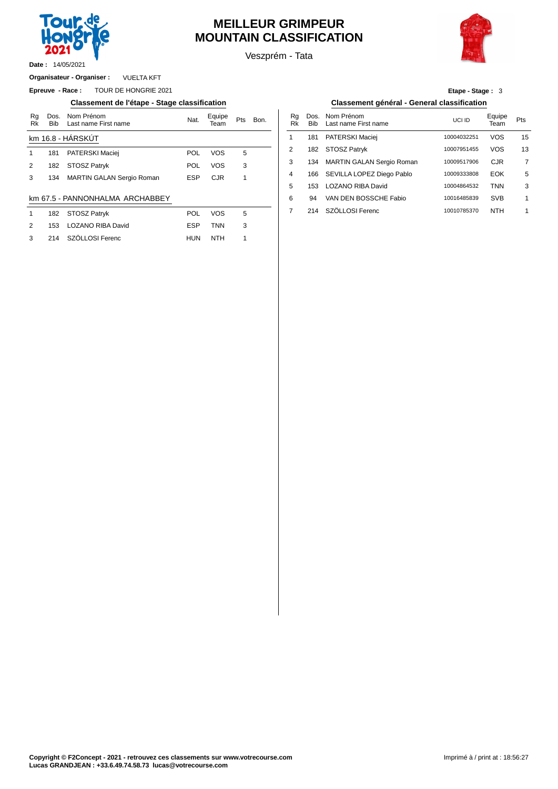

14/05/2021 **Date :**

# **MEILLEUR GRIMPEUR MOUNTAIN CLASSIFICATION**

Veszprém - Tata



VUELTA KFT **Organisateur - Organiser :**

**Epreuve - Race :** TOUR DE HONGRIE 2021

#### **Classement de l'étape - Stage classification Classement général - General classification**

| Rg<br>Rk      | Dos.<br><b>Bib</b> | Nom Prénom<br>Last name First name | Nat.       | Equipe<br>Team | Pts | Bon. | Rg<br>Rk       | Dos<br><b>Bib</b> |
|---------------|--------------------|------------------------------------|------------|----------------|-----|------|----------------|-------------------|
|               |                    | km 16.8 - HÁRSKÚT                  |            |                |     |      | 1              | 181               |
|               | 181                | PATERSKI Maciej                    | POL        | VOS            | 5   |      | $\overline{2}$ | 182               |
| $\mathcal{P}$ | 182                | STOSZ Patryk                       | POL        | VOS            | 3   |      | 3              | 134               |
| 3             | 134                | <b>MARTIN GALAN Sergio Roman</b>   | <b>ESP</b> | <b>CJR</b>     |     |      | 4              | 166               |
|               |                    |                                    |            |                |     |      | 5              | 153               |
|               |                    | <br>.                              |            |                |     |      |                |                   |

#### km 67.5 - PANNONHALMA ARCHABBEY

|              | 182 STOSZ Patryk      | <b>POL</b> | <b>VOS</b> | $\overline{a}$ |  | 214 SZÖLLOSI Ferenc |
|--------------|-----------------------|------------|------------|----------------|--|---------------------|
| 2            | 153 LOZANO RIBA David | <b>ESP</b> | <b>TNN</b> |                |  |                     |
| $\mathbf{3}$ | 214 SZÖLLOSI Ferenc   | <b>HUN</b> | NTH        |                |  |                     |

### **Etape - Stage :** 3

| Nom Prénom<br>Last name First name | Nat.       | Equipe<br>Team | Pts | Bon. | Ra<br>Rk | Dos.<br><b>Bib</b> | Nom Prénom<br>Last name First name | UCI ID      | Equipe<br>Team | Pts |
|------------------------------------|------------|----------------|-----|------|----------|--------------------|------------------------------------|-------------|----------------|-----|
| IÁRSKÚT                            |            |                |     |      |          | 181                | PATERSKI Maciej                    | 10004032251 | vos            | 15  |
| PATERSKI Maciej                    | <b>POL</b> | <b>VOS</b>     | 5   |      | 2        | 182                | STOSZ Patryk                       | 10007951455 | <b>VOS</b>     | 13  |
| STOSZ Patryk                       | POL        | <b>VOS</b>     | 3   |      | 3        | 134                | <b>MARTIN GALAN Sergio Roman</b>   | 10009517906 | <b>CJR</b>     | 7   |
| MARTIN GALAN Sergio Roman          | <b>ESP</b> | <b>CJR</b>     |     |      | 4        | 166                | SEVILLA LOPEZ Diego Pablo          | 10009333808 | <b>EOK</b>     | 5   |
|                                    |            |                |     |      | 5        | 153                | LOZANO RIBA David                  | 10004864532 | TNN            | 3   |
| ANNONHALMA ARCHABBEY               |            |                |     |      | 6        | 94                 | VAN DEN BOSSCHE Fabio              | 10016485839 | <b>SVB</b>     | 1   |
| STOSZ Patrvk                       | POL        | VOS            | 5   |      |          | 214                | SZÖLLOSI Ferenc                    | 10010785370 | <b>NTH</b>     |     |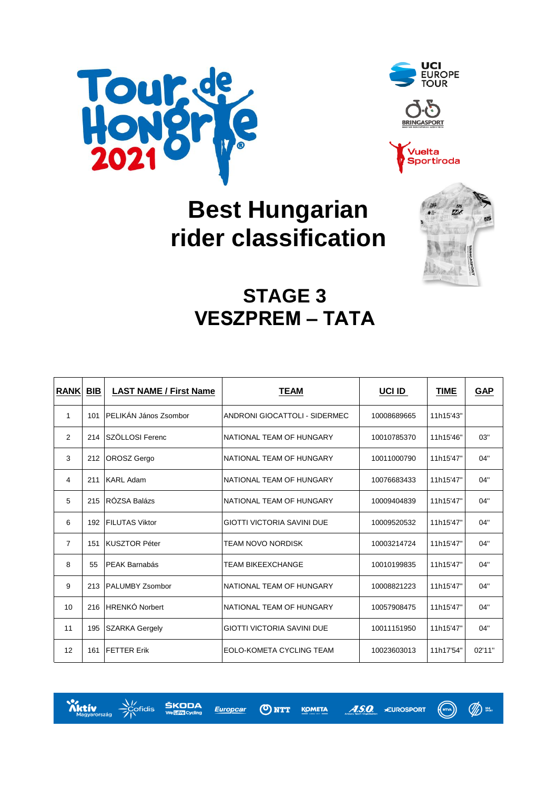





# **Best Hungarian rider classification**



# **STAGE 3 VESZPREM – TATA**

| <b>RANK</b>    | <b>BIB</b> | <b>LAST NAME / First Name</b> | <b>TEAM</b>                       | UCI ID      | <b>TIME</b> | <b>GAP</b> |
|----------------|------------|-------------------------------|-----------------------------------|-------------|-------------|------------|
| 1              | 101        | <b>PELIKÁN János Zsombor</b>  | ANDRONI GIOCATTOLI - SIDERMEC     | 10008689665 | 11h15'43"   |            |
| 2              |            | 214 SZÖLLOSI Ferenc           | NATIONAL TEAM OF HUNGARY          | 10010785370 | 11h15'46"   | 03"        |
| 3              | 212        | <b>OROSZ</b> Gergo            | NATIONAL TEAM OF HUNGARY          | 10011000790 | 11h15'47"   | 04"        |
| 4              | 211        | <b>KARL Adam</b>              | NATIONAL TEAM OF HUNGARY          | 10076683433 | 11h15'47"   | 04"        |
| 5              | 215        | RÓZSA Balázs                  | NATIONAL TEAM OF HUNGARY          | 10009404839 | 11h15'47"   | 04"        |
| 6              |            | 192 FILUTAS Viktor            | GIOTTI VICTORIA SAVINI DUE        | 10009520532 | 11h15'47"   | 04"        |
| $\overline{7}$ | 151        | <b>KUSZTOR Péter</b>          | <b>TEAM NOVO NORDISK</b>          | 10003214724 | 11h15'47"   | 04"        |
| 8              | 55         | <b>PEAK Barnabás</b>          | TEAM BIKEEXCHANGE                 | 10010199835 | 11h15'47"   | 04"        |
| 9              | 213        | <b>PALUMBY Zsombor</b>        | NATIONAL TEAM OF HUNGARY          | 10008821223 | 11h15'47"   | 04"        |
| 10             | 216        | <b>HRENKÓ Norbert</b>         | NATIONAL TEAM OF HUNGARY          | 10057908475 | 11h15'47"   | 04"        |
| 11             | 195        | <b>SZARKA Gergely</b>         | <b>GIOTTI VICTORIA SAVINI DUE</b> | 10011151950 | 11h15'47"   | 04"        |
| 12             | 161        | <b>FETTER Erik</b>            | EOLO-KOMETA CYCLING TEAM          | 10023603013 | 11h17'54"   | 02'11"     |



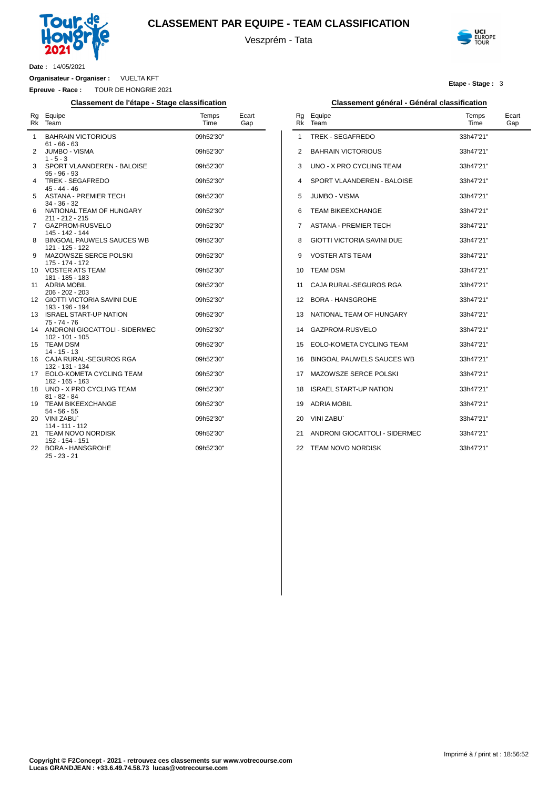

### **CLASSEMENT PAR EQUIPE - TEAM CLASSIFICATION**

Veszprém - Tata



**Etape - Stage :** 3

**Date :** 14/05/2021

**Organisateur - Organiser :** VUELTA KFT

**Epreuve - Race :** TOUR DE HONGRIE 2021

#### **Classement de l'étape - Stage classification Classement général - Général classification**

|    | Rg Equipe<br>Rk Team                                 | Temps<br>Time | Ecart<br>Gap |
|----|------------------------------------------------------|---------------|--------------|
| 1  | <b>BAHRAIN VICTORIOUS</b><br>$61 - 66 - 63$          | 09h52'30"     |              |
| 2  | <b>JUMBO - VISMA</b><br>$1 - 5 - 3$                  | 09h52'30"     |              |
| 3  | SPORT VLAANDEREN - BALOISE<br>$95 - 96 - 93$         | 09h52'30"     |              |
| 4  | TREK - SEGAFREDO<br>$45 - 44 - 46$                   | 09h52'30"     |              |
| 5  | <b>ASTANA - PREMIER TECH</b><br>34 - 36 - 32         | 09h52'30"     |              |
| 6  | NATIONAL TEAM OF HUNGARY<br>211 - 212 - 215          | 09h52'30"     |              |
| 7  | GAZPROM-RUSVELO<br>145 - 142 - 144                   | 09h52'30"     |              |
| 8  | <b>BINGOAL PAUWELS SAUCES WB</b><br>121 - 125 - 122  | 09h52'30"     |              |
| 9  | MAZOWSZE SERCE POLSKI<br>175 - 174 - 172             | 09h52'30"     |              |
| 10 | <b>VOSTER ATS TEAM</b><br>181 - 185 - 183            | 09h52'30"     |              |
| 11 | <b>ADRIA MOBIL</b><br>206 - 202 - 203                | 09h52'30"     |              |
| 12 | <b>GIOTTI VICTORIA SAVINI DUE</b><br>193 - 196 - 194 | 09h52'30"     |              |
| 13 | <b>ISRAEL START-UP NATION</b><br>$75 - 74 - 76$      | 09h52'30"     |              |
| 14 | ANDRONI GIOCATTOLI - SIDERMEC<br>102 - 101 - 105     | 09h52'30"     |              |
| 15 | <b>TEAM DSM</b><br>14 - 15 - 13                      | 09h52'30"     |              |
| 16 | CAJA RURAL-SEGUROS RGA<br>132 - 131 - 134            | 09h52'30"     |              |
| 17 | EOLO-KOMETA CYCLING TEAM<br>162 - 165 - 163          | 09h52'30"     |              |
| 18 | UNO - X PRO CYCLING TEAM<br>81 - 82 - 84             | 09h52'30"     |              |
| 19 | <b>TEAM BIKEEXCHANGE</b><br>$54 - 56 - 55$           | 09h52'30"     |              |
| 20 | <b>VINI ZABU</b><br>114 - 111 - 112                  | 09h52'30"     |              |
| 21 | <b>TEAM NOVO NORDISK</b><br>152 - 154 - 151          | 09h52'30"     |              |
| 22 | <b>BORA - HANSGROHE</b><br>25 - 23 - 21              | 09h52'30"     |              |

| Rg<br>Rk | Equipe<br>Team                   | Temps<br>Time | Ecart<br>Gap |
|----------|----------------------------------|---------------|--------------|
| 1        | TREK - SEGAFREDO                 | 33h47'21"     |              |
| 2        | <b>BAHRAIN VICTORIOUS</b>        | 33h47'21"     |              |
| 3        | UNO - X PRO CYCLING TEAM         | 33h47'21"     |              |
| 4        | SPORT VLAANDEREN - BALOISE       | 33h47'21"     |              |
| 5        | <b>JUMBO - VISMA</b>             | 33h47'21"     |              |
| 6        | <b>TEAM BIKEEXCHANGE</b>         | 33h47'21"     |              |
| 7        | <b>ASTANA - PREMIER TECH</b>     | 33h47'21"     |              |
| 8        | GIOTTI VICTORIA SAVINI DUE       | 33h47'21"     |              |
| 9        | VOSTER ATS TEAM                  | 33h47'21"     |              |
| 10       | <b>TEAM DSM</b>                  | 33h47'21"     |              |
| 11       | CAJA RURAL-SEGUROS RGA           | 33h47'21"     |              |
| 12       | <b>BORA - HANSGROHE</b>          | 33h47'21"     |              |
| 13       | NATIONAL TEAM OF HUNGARY         | 33h47'21"     |              |
| 14       | GAZPROM-RUSVELO                  | 33h47'21"     |              |
| 15       | EOLO-KOMETA CYCLING TEAM         | 33h47'21"     |              |
| 16       | <b>BINGOAL PAUWELS SAUCES WB</b> | 33h47'21"     |              |
| 17       | MAZOWSZE SERCE POLSKI            | 33h47'21"     |              |
| 18       | <b>ISRAEL START-UP NATION</b>    | 33h47'21"     |              |
| 19       | <b>ADRIA MOBIL</b>               | 33h47'21"     |              |
| 20       | <b>VINI ZABU</b>                 | 33h47'21"     |              |
| 21       | ANDRONI GIOCATTOLI - SIDERMEC    | 33h47'21"     |              |
| 22       | <b>TEAM NOVO NORDISK</b>         | 33h47'21"     |              |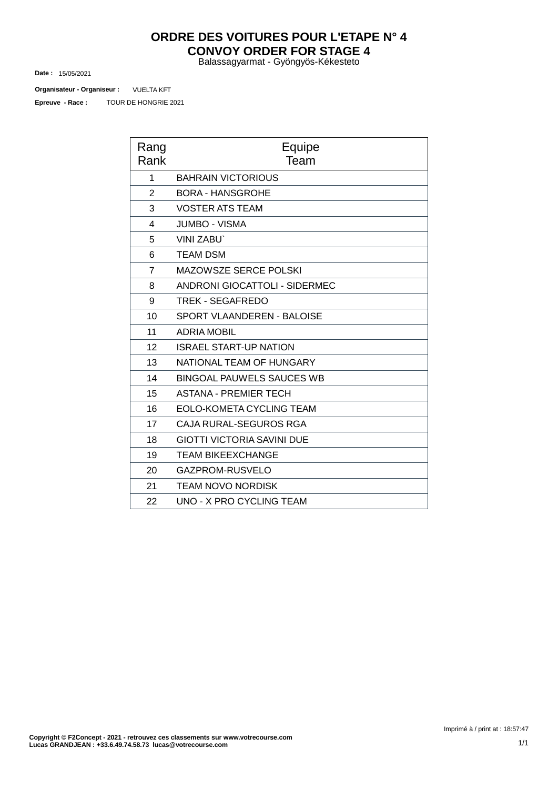## **ORDRE DES VOITURES POUR L'ETAPE N° 4 CONVOY ORDER FOR STAGE 4**

Balassagyarmat - Gyöngyös-Kékesteto

15/05/2021 **Date :**

TOUR DE HONGRIE 2021 VUELTA KFT **Organisateur - Organiseur : Epreuve - Race :**

| Rang<br>Rank   | Equipe<br>Team                       |
|----------------|--------------------------------------|
| 1              | <b>BAHRAIN VICTORIOUS</b>            |
| $\overline{2}$ | <b>BORA - HANSGROHE</b>              |
| 3              | <b>VOSTER ATS TEAM</b>               |
| 4              | <b>JUMBO - VISMA</b>                 |
| 5              | <b>VINI ZABU</b>                     |
| 6              | <b>TEAM DSM</b>                      |
| $\overline{7}$ | <b>MAZOWSZE SERCE POLSKI</b>         |
| 8              | <b>ANDRONI GIOCATTOLI - SIDERMEC</b> |
| 9              | <b>TREK - SEGAFREDO</b>              |
| 10             | SPORT VLAANDEREN - BALOISE           |
| 11             | <b>ADRIA MOBIL</b>                   |
| 12             | <b>ISRAEL START-UP NATION</b>        |
| 13             | NATIONAL TEAM OF HUNGARY             |
| 14             | <b>BINGOAL PAUWELS SAUCES WB</b>     |
| 15             | <b>ASTANA - PREMIER TECH</b>         |
| 16             | EOLO-KOMETA CYCLING TEAM             |
| 17             | CAJA RURAL-SEGUROS RGA               |
| 18             | <b>GIOTTI VICTORIA SAVINI DUE</b>    |
| 19             | <b>TEAM BIKEEXCHANGE</b>             |
| 20             | GAZPROM-RUSVELO                      |
| 21             | <b>TEAM NOVO NORDISK</b>             |
| 22             | <b>UNO - X PRO CYCLING TEAM</b>      |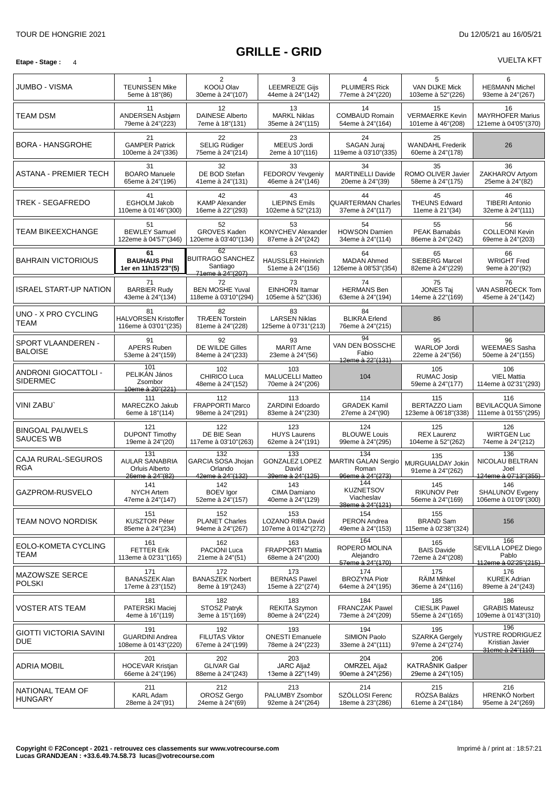#### **Etape -** Stage: 4 VUELTA KFT

| JUMBO - VISMA                        | 1<br><b>TEUNISSEN Mike</b><br>5eme à 18"(86)                      | 2<br>KOOIJ Olav<br>30eme à 24"(107)                           | 3<br><b>LEEMREIZE Gijs</b><br>44eme à 24"(142)            | 4<br><b>PLUIMERS Rick</b><br>77eme à 24"(220)                  | 5<br><b>VAN DIJKE Mick</b><br>103eme à 52"(226)     | 6<br><b>HEßMANN Michel</b><br>93eme à 24"(267)                            |
|--------------------------------------|-------------------------------------------------------------------|---------------------------------------------------------------|-----------------------------------------------------------|----------------------------------------------------------------|-----------------------------------------------------|---------------------------------------------------------------------------|
| TEAM DSM                             | 11<br>ANDERSEN Asbjørn<br>79eme à 24"(223)                        | 12<br><b>DAINESE Alberto</b><br>7eme à 18"(131)               | 13<br><b>MARKL Niklas</b><br>35eme à 24"(115)             | 14<br><b>COMBAUD Romain</b><br>54eme à 24"(164)                | 15<br><b>VERMAERKE Kevin</b><br>101eme à 46"(208)   | 16<br><b>MAYRHOFER Marius</b><br>121eme à 04'05"(370)                     |
| <b>BORA - HANSGROHE</b>              | 21<br><b>GAMPER Patrick</b><br>100eme à 24"(336)                  | 22<br>SELIG Rüdiger<br>75eme à 24"(214)                       | 23<br>MEEUS Jordi<br>2eme à 10"(116)                      | 24<br>SAGAN Juraj<br>119eme à 03'10"(335)                      | 25<br><b>WANDAHL Frederik</b><br>60eme à 24"(178)   | 26                                                                        |
| ASTANA - PREMIER TECH                | 31<br><b>BOARO</b> Manuele<br>65eme à 24"(196)                    | 32<br>DE BOD Stefan<br>41eme à 24"(131)                       | 33<br>FEDOROV Yevgeniy<br>46eme à 24"(146)                | 34<br><b>MARTINELLI Davide</b><br>20eme à 24"(39)              | 35<br>ROMO OLIVER Javier<br>58eme à 24"(175)        | 36<br>ZAKHAROV Artyom<br>25eme à 24"(82)                                  |
| TREK - SEGAFREDO                     | 41<br><b>EGHOLM Jakob</b><br>110eme à 01'46"(300)                 | 42<br><b>KAMP Alexander</b><br>16eme à 22"(293)               | 43<br><b>LIEPINS Emils</b><br>102eme à 52"(213)           | 44<br><b>QUARTERMAN Charles</b><br>37eme à 24"(117)            | 45<br><b>THEUNS Edward</b><br>11eme à 21"(34)       | 46<br><b>TIBERI Antonio</b><br>32eme à 24"(111)                           |
| TEAM BIKEEXCHANGE                    | 51<br><b>BEWLEY Samuel</b><br>122eme à 04'57"(346)                | 52<br><b>GROVES Kaden</b><br>120eme à 03'40"(134)             | 53<br><b>KONYCHEV Alexander</b><br>87eme à 24"(242)       | 54<br><b>HOWSON Damien</b><br>34eme à 24"(114)                 | 55<br>PEAK Barnabás<br>86eme à 24"(242)             | 56<br><b>COLLEONI Kevin</b><br>69eme à 24"(203)                           |
| <b>BAHRAIN VICTORIOUS</b>            | 61<br><b>BAUHAUS Phil</b><br>1er en 11h15'23"(5)                  | 62<br><b>BUITRAGO SANCHEZ</b><br>Santiago<br>71eme à 24"(207) | 63<br><b>HAUSSLER Heinrich</b><br>51eme à 24"(156)        | 64<br><b>MADAN Ahmed</b><br>126eme à 08'53" (354)              | 65<br>SIEBERG Marcel<br>82eme à 24"(229)            | 66<br><b>WRIGHT Fred</b><br>9eme à 20"(92)                                |
| <b>ISRAEL START-UP NATION</b>        | 71<br><b>BARBIER Rudy</b><br>43eme à 24"(134)                     | 72<br><b>BEN MOSHE Yuval</b><br>118eme à 03'10"(294)          | 73<br><b>EINHORN Itamar</b><br>105eme à 52"(336)          | 74<br><b>HERMANS Ben</b><br>63eme à 24"(194)                   | 75<br><b>JONES Taj</b><br>14eme à 22"(169)          | 76<br>VAN ASBROECK Tom<br>45eme à 24"(142)                                |
| UNO - X PRO CYCLING<br>TEAM          | 81<br><b>HALVORSEN Kristoffer</b><br>116eme à 03'01"(235)         | 82<br><b>TRÆEN Torstein</b><br>81eme à 24"(228)               | 83<br><b>LARSEN Niklas</b><br>125eme à 07'31"(213)        | 84<br><b>BLIKRA</b> Erlend<br>76eme à 24"(215)                 | 86                                                  |                                                                           |
| SPORT VLAANDEREN -<br><b>BALOISE</b> | 91<br><b>APERS Ruben</b><br>53eme à 24"(159)                      | 92<br>DE WILDE Gilles<br>84eme à 24"(233)                     | 93<br><b>MARIT Arne</b><br>23eme à 24"(56)                | 94<br>VAN DEN BOSSCHE<br>Fabio<br>12eme à 22"(131)             | 95<br><b>WARLOP Jordi</b><br>22eme à 24"(56)        | 96<br><b>WEEMAES Sasha</b><br>50eme à 24"(155)                            |
| ANDRONI GIOCATTOLI -<br>SIDERMEC     | 101<br>PELIKÁN János<br>Zsombor<br>10eme à 20"(221)               | 102<br>CHIRICO Luca<br>48eme à 24"(152)                       | 103<br><b>MALUCELLI Matteo</b><br>70eme à 24"(206)        | 104                                                            | 105<br><b>RUMAC Josip</b><br>59eme à 24"(177)       | 106<br><b>VIEL Mattia</b><br>114eme à 02'31"(293)                         |
| VINI ZABU`                           | 111<br>MARECZKO Jakub<br>6eme à 18"(114)                          | 112<br><b>FRAPPORTI Marco</b><br>98eme à 24"(291)             | 113<br>ZARDINI Edoardo<br>83eme à 24"(230)                | 114<br><b>GRADEK Kamil</b><br>27eme à 24"(90)                  | 115<br><b>BERTAZZO Liam</b><br>123eme à 06'18"(338) | 116<br><b>BEVILACQUA Simone</b><br>111eme à 01'55"(295)                   |
| <b>BINGOAL PAUWELS</b><br>SAUCES WB  | 121<br><b>DUPONT Timothy</b><br>19eme à 24"(20)                   | 122<br>DE BIE Sean<br>117eme à 03'10"(263)                    | 123<br><b>HUYS Laurens</b><br>62eme à 24"(191)            | 124<br><b>BLOUWE Louis</b><br>99eme à 24"(295)                 | 125<br><b>REX Laurenz</b><br>104eme à 52"(262)      | 126<br><b>WIRTGEN Luc</b><br>74eme à 24"(212)                             |
| CAJA RURAL-SEGUROS<br><b>RGA</b>     | 131<br><b>AULAR SANABRIA</b><br>Orluis Alberto<br>26eme à 24"(82) | 132<br>GARCIA SOSA Jhojan<br>Orlando<br>42eme à 24"(132)      | 133<br><b>GONZALEZ LOPEZ</b><br>David<br>39eme à 24"(125) | 134<br><b>MARTIN GALAN Sergio</b><br>Roman<br>96eme à 24"(273) | 135<br>MURGUIALDAY Jokin<br>91eme à 24"(262)        | 136<br>NICOLAU BELTRAN<br>Joel<br>124eme à 07'13"(355)                    |
| GAZPROM-RUSVELO                      | 141<br><b>NYCH Artem</b><br>47eme à 24"(147)                      | 142<br><b>BOEV</b> Igor<br>52eme à 24"(157)                   | 143<br>CIMA Damiano<br>40eme à 24"(129)                   | 144<br><b>KUZNETSOV</b><br>Viacheslav<br>38eme à 24"(121)      | 145<br><b>RIKUNOV Petr</b><br>56eme à 24"(169)      | 146<br>SHALUNOV Evgeny<br>106eme à 01'09"(300)                            |
| TEAM NOVO NORDISK                    | 151<br><b>KUSZTOR Péter</b><br>85eme à 24"(234)                   | 152<br><b>PLANET Charles</b><br>94eme à 24"(267)              | 153<br>LOZANO RIBA David<br>107eme à 01'42"(272)          | 154<br><b>PERON Andrea</b><br>49eme à 24"(153)                 | 155<br><b>BRAND Sam</b><br>115eme à 02'38"(324)     | 156                                                                       |
| EOLO-KOMETA CYCLING<br>TEAM          | 161<br>FETTER Erik<br>113eme à 02'31"(165)                        | 162<br>PACIONI Luca<br>21eme à 24"(51)                        | 163<br>FRAPPORTI Mattia<br>68eme à 24"(200)               | 164<br>ROPERO MOLINA<br>Alejandro<br>57eme à 24"(170)          | 165<br><b>BAIS Davide</b><br>72eme à 24"(208)       | 166<br>SEVILLA LOPEZ Diego<br>Pablo<br>112eme à 02'25"(215)               |
| <b>MAZOWSZE SERCE</b><br>POLSKI      | 171<br><b>BANASZEK Alan</b><br>17eme à 23"(152)                   | 172<br><b>BANASZEK Norbert</b><br>8eme à 19"(243)             | 173<br><b>BERNAS Pawel</b><br>15eme à 22"(274)            | 174<br><b>BROZYNA Piotr</b><br>64eme à 24"(195)                | 175<br><b>RÄIM Mihkel</b><br>36eme à 24"(116)       | 176<br><b>KUREK Adrian</b><br>89eme à 24"(243)                            |
| VOSTER ATS TEAM                      | 181<br>PATERSKI Maciej<br>4eme à 16"(119)                         | 182<br>STOSZ Patryk<br>3eme à 15"(169)                        | 183<br><b>REKITA Szymon</b><br>80eme à 24"(224)           | 184<br>FRANCZAK Pawel<br>73eme à 24"(209)                      | 185<br><b>CIESLIK Pawel</b><br>55eme à 24"(165)     | 186<br><b>GRABIS Mateusz</b><br>109eme à 01'43"(310)                      |
| GIOTTI VICTORIA SAVINI<br><b>DUE</b> | 191<br><b>GUARDINI Andrea</b><br>108eme à 01'43"(220)             | 192<br><b>FILUTAS Viktor</b><br>67eme à 24"(199)              | 193<br><b>ONESTI Emanuele</b><br>78eme à 24"(223)         | 194<br>SIMION Paolo<br>33eme à 24"(111)                        | 195<br><b>SZARKA Gergely</b><br>97eme à 24"(274)    | 196<br>YUSTRE RODRIGUEZ<br>Kristian Javier<br><del>31eme à 24"(110)</del> |
| ADRIA MOBIL                          | 201<br><b>HOCEVAR Kristjan</b><br>66eme à 24"(196)                | 202<br><b>GLIVAR Gal</b><br>88eme à 24"(243)                  | 203<br>JARC Aljaž<br>13eme à 22"(149)                     | 204<br>OMRZEL Aljaž<br>90eme à 24"(256)                        | 206<br>KATRAŠNIK Gašper<br>29eme à 24"(105)         |                                                                           |
| NATIONAL TEAM OF<br><b>HUNGARY</b>   | 211<br><b>KARL Adam</b><br>28eme à 24"(91)                        | 212<br>OROSZ Gergo<br>24eme à 24"(69)                         | 213<br>PALUMBY Zsombor<br>92eme à 24"(264)                | 214<br>SZÖLLOSI Ferenc<br>18eme à 23"(286)                     | 215<br>RÓZSA Balázs<br>61eme à 24"(184)             | 216<br><b>HRENKÓ Norbert</b><br>95eme à 24"(269)                          |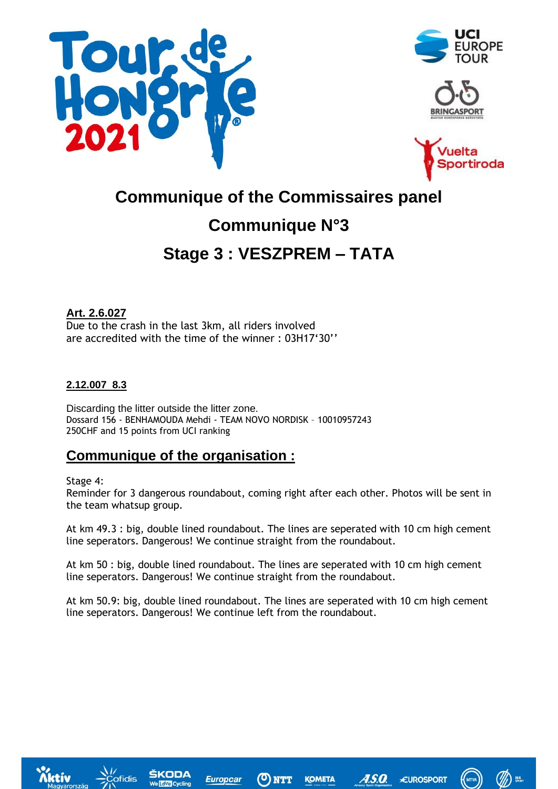







# **Communique of the Commissaires panel Communique N°3 Stage 3 : VESZPREM – TATA**

**Art. 2.6.027** Due to the crash in the last 3km, all riders involved are accredited with the time of the winner : 03H17'30''

### **2.12.007 8.3**

Discarding the litter outside the litter zone. Dossard 156 - BENHAMOUDA Mehdi - TEAM NOVO NORDISK – 10010957243 250CHF and 15 points from UCI ranking

# **Communique of the organisation :**

### Stage 4:

Reminder for 3 dangerous roundabout, coming right after each other. Photos will be sent in the team whatsup group.

At km 49.3 : big, double lined roundabout. The lines are seperated with 10 cm high cement line seperators. Dangerous! We continue straight from the roundabout.

At km 50 : big, double lined roundabout. The lines are seperated with 10 cm high cement line seperators. Dangerous! We continue straight from the roundabout.

At km 50.9: big, double lined roundabout. The lines are seperated with 10 cm high cement line seperators. Dangerous! We continue left from the roundabout.





**Europcal**